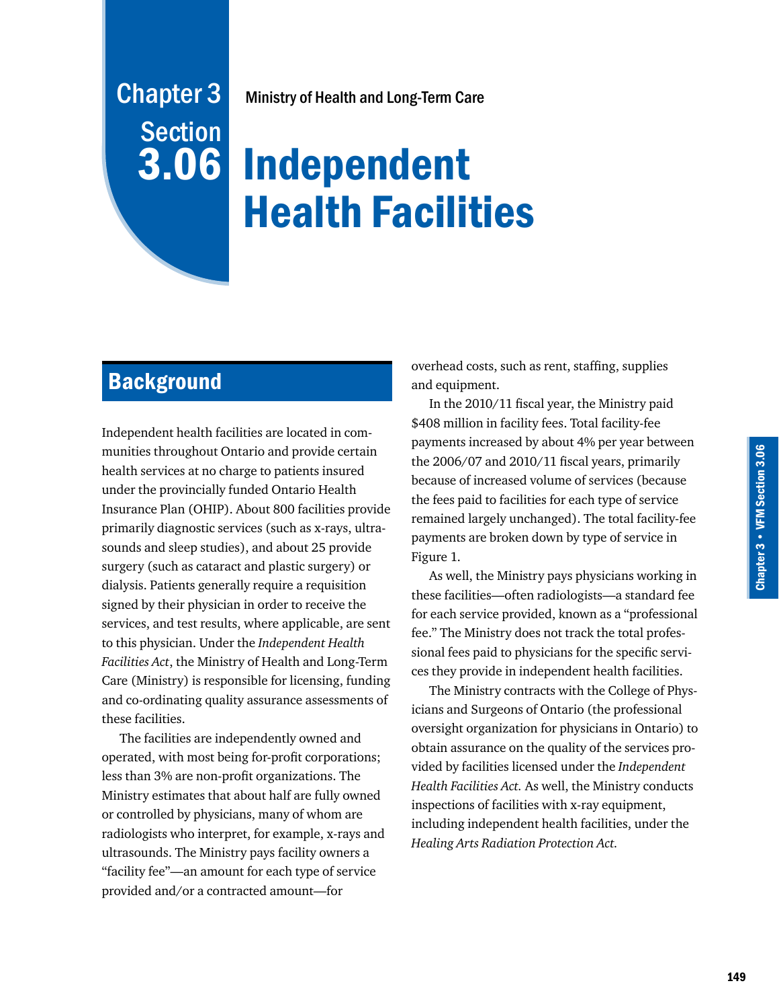# Ministry of Health and Long-Term Care

# Independent Health Facilities

# **Background**

Chapter 3

**Section** 

3.06

Independent health facilities are located in communities throughout Ontario and provide certain health services at no charge to patients insured under the provincially funded Ontario Health Insurance Plan (OHIP). About 800 facilities provide primarily diagnostic services (such as x-rays, ultrasounds and sleep studies), and about 25 provide surgery (such as cataract and plastic surgery) or dialysis. Patients generally require a requisition signed by their physician in order to receive the services, and test results, where applicable, are sent to this physician. Under the *Independent Health Facilities Act*, the Ministry of Health and Long-Term Care (Ministry) is responsible for licensing, funding and co-ordinating quality assurance assessments of these facilities.

The facilities are independently owned and operated, with most being for-profit corporations; less than 3% are non-profit organizations. The Ministry estimates that about half are fully owned or controlled by physicians, many of whom are radiologists who interpret, for example, x-rays and ultrasounds. The Ministry pays facility owners a "facility fee"—an amount for each type of service provided and/or a contracted amount—for

overhead costs, such as rent, staffing, supplies and equipment.

In the 2010/11 fiscal year, the Ministry paid \$408 million in facility fees. Total facility-fee payments increased by about 4% per year between the 2006/07 and 2010/11 fiscal years, primarily because of increased volume of services (because the fees paid to facilities for each type of service remained largely unchanged). The total facility-fee payments are broken down by type of service in Figure 1.

As well, the Ministry pays physicians working in these facilities—often radiologists—a standard fee for each service provided, known as a "professional fee." The Ministry does not track the total professional fees paid to physicians for the specific services they provide in independent health facilities.

The Ministry contracts with the College of Physicians and Surgeons of Ontario (the professional oversight organization for physicians in Ontario) to obtain assurance on the quality of the services provided by facilities licensed under the *Independent Health Facilities Act.* As well, the Ministry conducts inspections of facilities with x-ray equipment, including independent health facilities, under the *Healing Arts Radiation Protection Act.*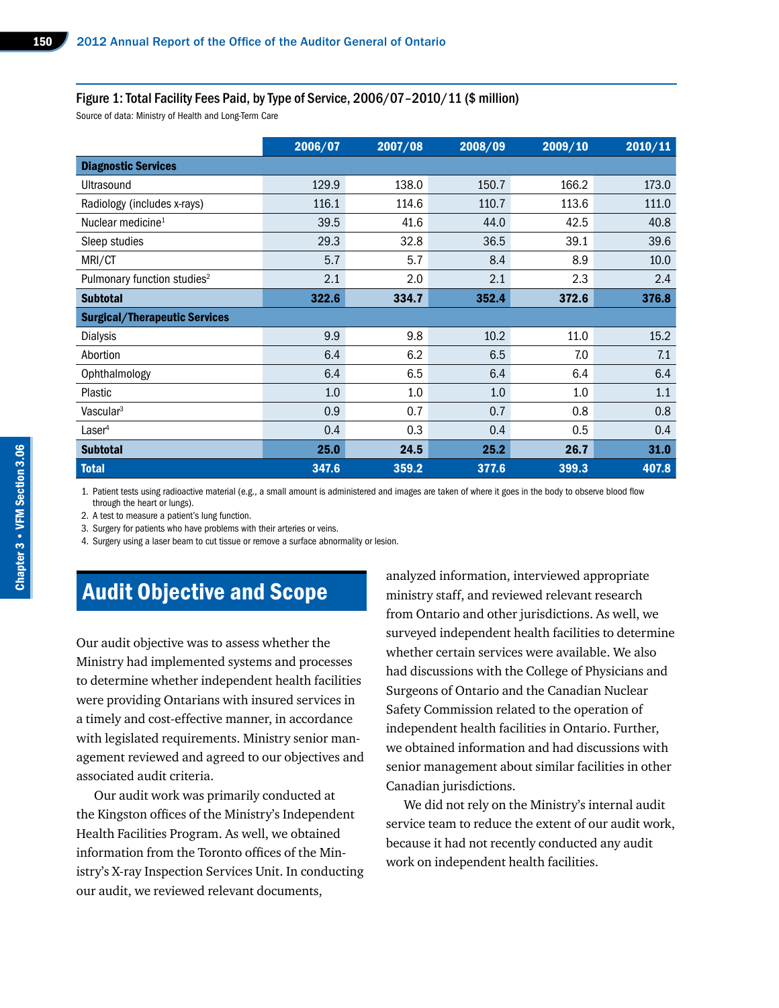#### Figure 1: Total Facility Fees Paid, by Type of Service, 2006/07–2010/11 (\$ million)

Source of data: Ministry of Health and Long-Term Care

|                                         | 2006/07 | 2007/08 | 2008/09 | 2009/10 | 2010/11 |
|-----------------------------------------|---------|---------|---------|---------|---------|
| <b>Diagnostic Services</b>              |         |         |         |         |         |
| Ultrasound                              | 129.9   | 138.0   | 150.7   | 166.2   | 173.0   |
| Radiology (includes x-rays)             | 116.1   | 114.6   | 110.7   | 113.6   | 111.0   |
| Nuclear medicine <sup>1</sup>           | 39.5    | 41.6    | 44.0    | 42.5    | 40.8    |
| Sleep studies                           | 29.3    | 32.8    | 36.5    | 39.1    | 39.6    |
| MRI/CT                                  | 5.7     | 5.7     | 8.4     | 8.9     | 10.0    |
| Pulmonary function studies <sup>2</sup> | 2.1     | 2.0     | 2.1     | 2.3     | 2.4     |
| <b>Subtotal</b>                         | 322.6   | 334.7   | 352.4   | 372.6   | 376.8   |
| <b>Surgical/Therapeutic Services</b>    |         |         |         |         |         |
| Dialysis                                | 9.9     | 9.8     | 10.2    | 11.0    | 15.2    |
| Abortion                                | 6.4     | 6.2     | 6.5     | 7.0     | 7.1     |
| Ophthalmology                           | 6.4     | 6.5     | 6.4     | 6.4     | 6.4     |
| Plastic                                 | 1.0     | 1.0     | 1.0     | 1.0     | 1.1     |
| Vascular <sup>3</sup>                   | 0.9     | 0.7     | 0.7     | 0.8     | 0.8     |
| Laser <sup>4</sup>                      | 0.4     | 0.3     | 0.4     | 0.5     | 0.4     |
| <b>Subtotal</b>                         | 25.0    | 24.5    | 25.2    | 26.7    | 31.0    |
| <b>Total</b>                            | 347.6   | 359.2   | 377.6   | 399.3   | 407.8   |

1. Patient tests using radioactive material (e.g., a small amount is administered and images are taken of where it goes in the body to observe blood flow through the heart or lungs).

2. A test to measure a patient's lung function.

3. Surgery for patients who have problems with their arteries or veins.

4. Surgery using a laser beam to cut tissue or remove a surface abnormality or lesion.

# Audit Objective and Scope

Our audit objective was to assess whether the Ministry had implemented systems and processes to determine whether independent health facilities were providing Ontarians with insured services in a timely and cost-effective manner, in accordance with legislated requirements. Ministry senior management reviewed and agreed to our objectives and associated audit criteria.

Our audit work was primarily conducted at the Kingston offices of the Ministry's Independent Health Facilities Program. As well, we obtained information from the Toronto offices of the Ministry's X-ray Inspection Services Unit. In conducting our audit, we reviewed relevant documents,

analyzed information, interviewed appropriate ministry staff, and reviewed relevant research from Ontario and other jurisdictions. As well, we surveyed independent health facilities to determine whether certain services were available. We also had discussions with the College of Physicians and Surgeons of Ontario and the Canadian Nuclear Safety Commission related to the operation of independent health facilities in Ontario. Further, we obtained information and had discussions with senior management about similar facilities in other Canadian jurisdictions.

We did not rely on the Ministry's internal audit service team to reduce the extent of our audit work, because it had not recently conducted any audit work on independent health facilities.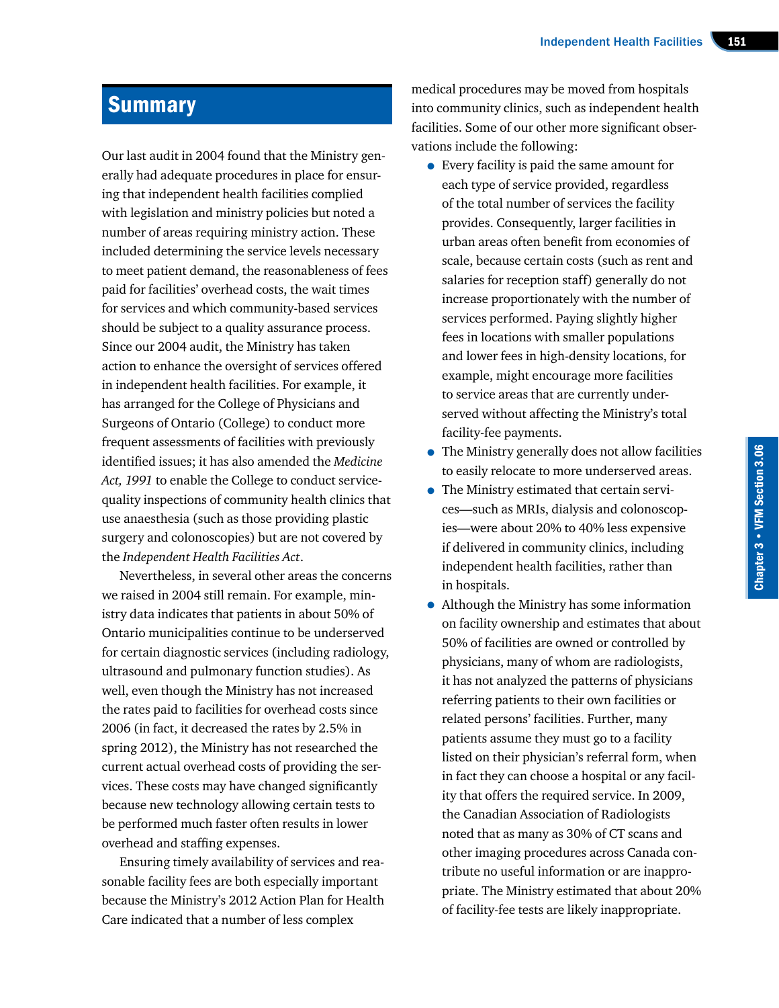# **Summary**

Our last audit in 2004 found that the Ministry generally had adequate procedures in place for ensuring that independent health facilities complied with legislation and ministry policies but noted a number of areas requiring ministry action. These included determining the service levels necessary to meet patient demand, the reasonableness of fees paid for facilities' overhead costs, the wait times for services and which community-based services should be subject to a quality assurance process. Since our 2004 audit, the Ministry has taken action to enhance the oversight of services offered in independent health facilities. For example, it has arranged for the College of Physicians and Surgeons of Ontario (College) to conduct more frequent assessments of facilities with previously identified issues; it has also amended the *Medicine Act, 1991* to enable the College to conduct servicequality inspections of community health clinics that use anaesthesia (such as those providing plastic surgery and colonoscopies) but are not covered by the *Independent Health Facilities Act*.

Nevertheless, in several other areas the concerns we raised in 2004 still remain. For example, ministry data indicates that patients in about 50% of Ontario municipalities continue to be underserved for certain diagnostic services (including radiology, ultrasound and pulmonary function studies). As well, even though the Ministry has not increased the rates paid to facilities for overhead costs since 2006 (in fact, it decreased the rates by 2.5% in spring 2012), the Ministry has not researched the current actual overhead costs of providing the services. These costs may have changed significantly because new technology allowing certain tests to be performed much faster often results in lower overhead and staffing expenses.

Ensuring timely availability of services and reasonable facility fees are both especially important because the Ministry's 2012 Action Plan for Health Care indicated that a number of less complex

medical procedures may be moved from hospitals into community clinics, such as independent health facilities. Some of our other more significant observations include the following:

- Every facility is paid the same amount for each type of service provided, regardless of the total number of services the facility provides. Consequently, larger facilities in urban areas often benefit from economies of scale, because certain costs (such as rent and salaries for reception staff) generally do not increase proportionately with the number of services performed. Paying slightly higher fees in locations with smaller populations and lower fees in high-density locations, for example, might encourage more facilities to service areas that are currently underserved without affecting the Ministry's total facility-fee payments.
- The Ministry generally does not allow facilities to easily relocate to more underserved areas.
- The Ministry estimated that certain services—such as MRIs, dialysis and colonoscopies—were about 20% to 40% less expensive if delivered in community clinics, including independent health facilities, rather than in hospitals.
- Although the Ministry has some information on facility ownership and estimates that about 50% of facilities are owned or controlled by physicians, many of whom are radiologists, it has not analyzed the patterns of physicians referring patients to their own facilities or related persons' facilities. Further, many patients assume they must go to a facility listed on their physician's referral form, when in fact they can choose a hospital or any facility that offers the required service. In 2009, the Canadian Association of Radiologists noted that as many as 30% of CT scans and other imaging procedures across Canada contribute no useful information or are inappropriate. The Ministry estimated that about 20% of facility-fee tests are likely inappropriate.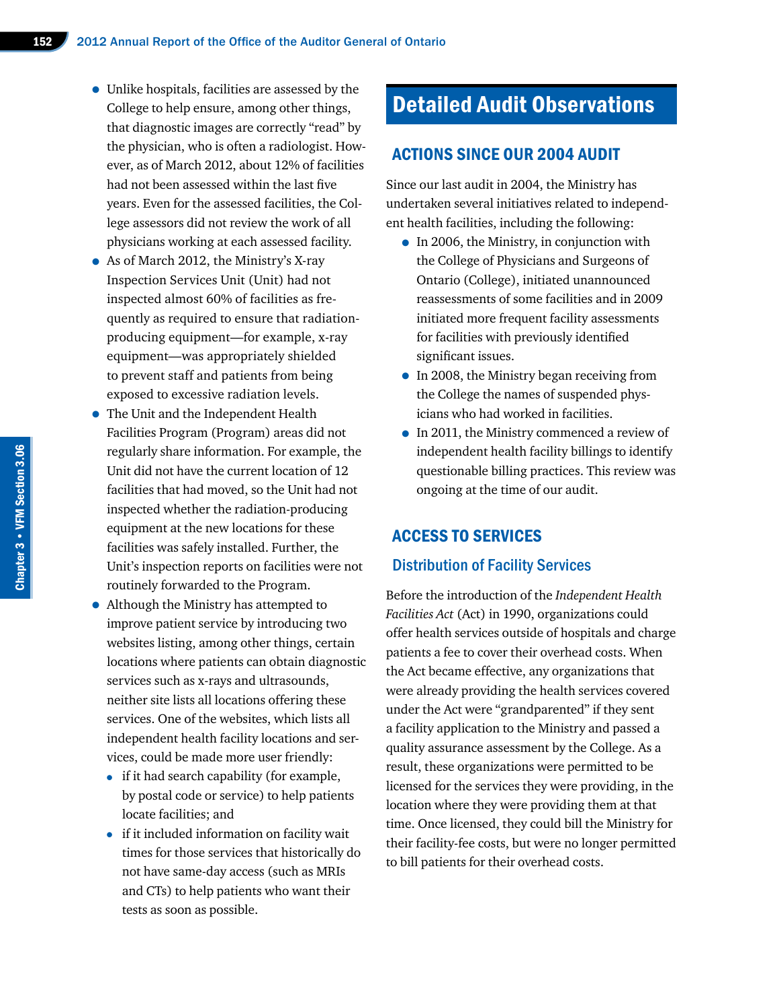- Unlike hospitals, facilities are assessed by the College to help ensure, among other things, that diagnostic images are correctly "read" by the physician, who is often a radiologist. However, as of March 2012, about 12% of facilities had not been assessed within the last five years. Even for the assessed facilities, the College assessors did not review the work of all physicians working at each assessed facility.
- As of March 2012, the Ministry's X-ray Inspection Services Unit (Unit) had not inspected almost 60% of facilities as frequently as required to ensure that radiationproducing equipment—for example, x-ray equipment—was appropriately shielded to prevent staff and patients from being exposed to excessive radiation levels.
- The Unit and the Independent Health Facilities Program (Program) areas did not regularly share information. For example, the Unit did not have the current location of 12 facilities that had moved, so the Unit had not inspected whether the radiation-producing equipment at the new locations for these facilities was safely installed. Further, the Unit's inspection reports on facilities were not routinely forwarded to the Program.
- Although the Ministry has attempted to improve patient service by introducing two websites listing, among other things, certain locations where patients can obtain diagnostic services such as x-rays and ultrasounds, neither site lists all locations offering these services. One of the websites, which lists all independent health facility locations and services, could be made more user friendly:
	- if it had search capability (for example, by postal code or service) to help patients locate facilities; and
	- if it included information on facility wait times for those services that historically do not have same-day access (such as MRIs and CTs) to help patients who want their tests as soon as possible.

# Detailed Audit Observations

#### ACTIONS SINCE OUR 2004 AUDIT

Since our last audit in 2004, the Ministry has undertaken several initiatives related to independent health facilities, including the following:

- In 2006, the Ministry, in conjunction with the College of Physicians and Surgeons of Ontario (College), initiated unannounced reassessments of some facilities and in 2009 initiated more frequent facility assessments for facilities with previously identified significant issues.
- In 2008, the Ministry began receiving from the College the names of suspended physicians who had worked in facilities.
- In 2011, the Ministry commenced a review of independent health facility billings to identify questionable billing practices. This review was ongoing at the time of our audit.

#### ACCESS TO SERVICES

#### Distribution of Facility Services

Before the introduction of the *Independent Health Facilities Act* (Act) in 1990, organizations could offer health services outside of hospitals and charge patients a fee to cover their overhead costs. When the Act became effective, any organizations that were already providing the health services covered under the Act were "grandparented" if they sent a facility application to the Ministry and passed a quality assurance assessment by the College. As a result, these organizations were permitted to be licensed for the services they were providing, in the location where they were providing them at that time. Once licensed, they could bill the Ministry for their facility-fee costs, but were no longer permitted to bill patients for their overhead costs.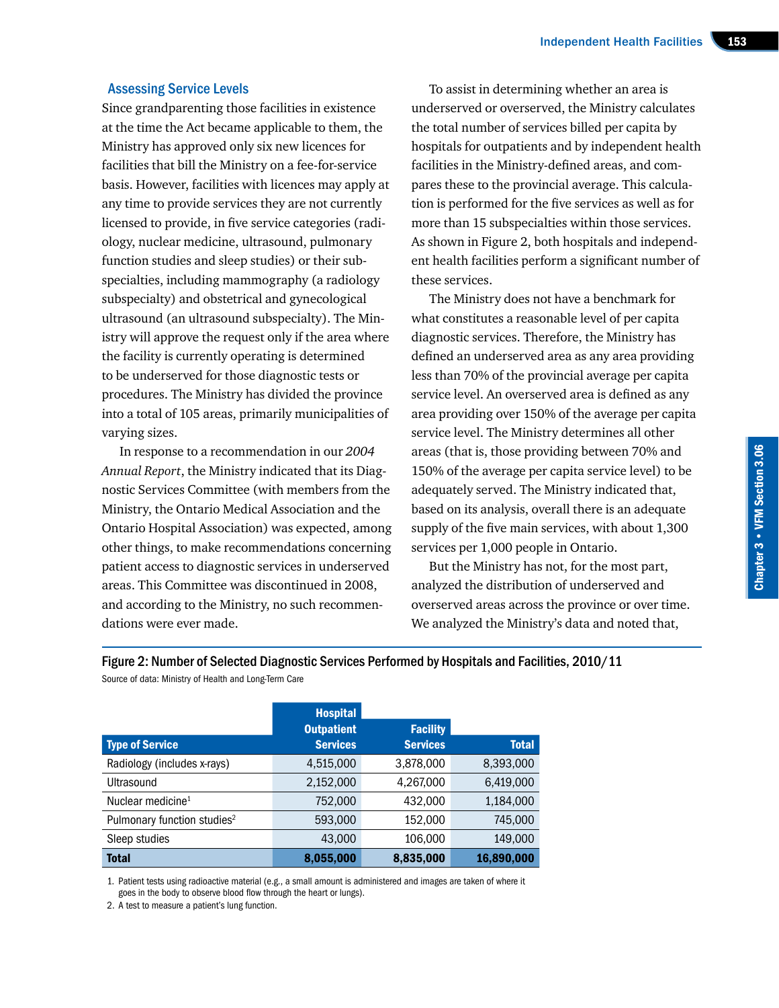#### Assessing Service Levels

Since grandparenting those facilities in existence at the time the Act became applicable to them, the Ministry has approved only six new licences for facilities that bill the Ministry on a fee-for-service basis. However, facilities with licences may apply at any time to provide services they are not currently licensed to provide, in five service categories (radiology, nuclear medicine, ultrasound, pulmonary function studies and sleep studies) or their subspecialties, including mammography (a radiology subspecialty) and obstetrical and gynecological ultrasound (an ultrasound subspecialty). The Ministry will approve the request only if the area where the facility is currently operating is determined to be underserved for those diagnostic tests or procedures. The Ministry has divided the province into a total of 105 areas, primarily municipalities of varying sizes.

In response to a recommendation in our *2004 Annual Report*, the Ministry indicated that its Diagnostic Services Committee (with members from the Ministry, the Ontario Medical Association and the Ontario Hospital Association) was expected, among other things, to make recommendations concerning patient access to diagnostic services in underserved areas. This Committee was discontinued in 2008, and according to the Ministry, no such recommendations were ever made.

To assist in determining whether an area is underserved or overserved, the Ministry calculates the total number of services billed per capita by hospitals for outpatients and by independent health facilities in the Ministry-defined areas, and compares these to the provincial average. This calculation is performed for the five services as well as for more than 15 subspecialties within those services. As shown in Figure 2, both hospitals and independent health facilities perform a significant number of these services.

The Ministry does not have a benchmark for what constitutes a reasonable level of per capita diagnostic services. Therefore, the Ministry has defined an underserved area as any area providing less than 70% of the provincial average per capita service level. An overserved area is defined as any area providing over 150% of the average per capita service level. The Ministry determines all other areas (that is, those providing between 70% and 150% of the average per capita service level) to be adequately served. The Ministry indicated that, based on its analysis, overall there is an adequate supply of the five main services, with about 1,300 services per 1,000 people in Ontario.

But the Ministry has not, for the most part, analyzed the distribution of underserved and overserved areas across the province or over time. We analyzed the Ministry's data and noted that,

|                                         | <b>Hospital</b>   |                 |              |
|-----------------------------------------|-------------------|-----------------|--------------|
|                                         | <b>Outpatient</b> | <b>Facility</b> |              |
| <b>Type of Service</b>                  | <b>Services</b>   | <b>Services</b> | <b>Total</b> |
| Radiology (includes x-rays)             | 4,515,000         | 3,878,000       | 8,393,000    |
| <b>Ultrasound</b>                       | 2,152,000         | 4,267,000       | 6,419,000    |
| Nuclear medicine <sup>1</sup>           | 752,000           | 432,000         | 1,184,000    |
| Pulmonary function studies <sup>2</sup> | 593,000           | 152,000         | 745,000      |
| Sleep studies                           | 43,000            | 106,000         | 149,000      |
| <b>Total</b>                            | 8,055,000         | 8,835,000       | 16,890,000   |

Figure 2: Number of Selected Diagnostic Services Performed by Hospitals and Facilities, 2010/11 Source of data: Ministry of Health and Long-Term Care

1. Patient tests using radioactive material (e.g., a small amount is administered and images are taken of where it goes in the body to observe blood flow through the heart or lungs).

2. A test to measure a patient's lung function.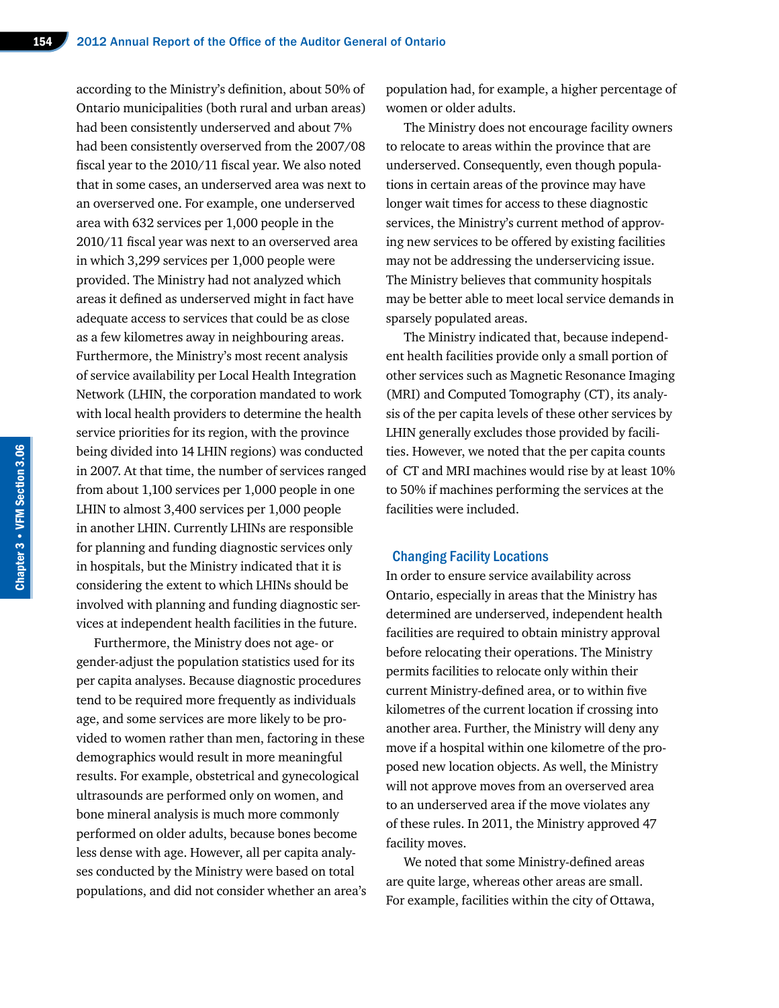according to the Ministry's definition, about 50% of Ontario municipalities (both rural and urban areas) had been consistently underserved and about 7% had been consistently overserved from the 2007/08 fiscal year to the 2010/11 fiscal year. We also noted that in some cases, an underserved area was next to an overserved one. For example, one underserved area with 632 services per 1,000 people in the 2010/11 fiscal year was next to an overserved area in which 3,299 services per 1,000 people were provided. The Ministry had not analyzed which areas it defined as underserved might in fact have adequate access to services that could be as close as a few kilometres away in neighbouring areas. Furthermore, the Ministry's most recent analysis of service availability per Local Health Integration Network (LHIN, the corporation mandated to work with local health providers to determine the health service priorities for its region, with the province being divided into 14 LHIN regions) was conducted in 2007. At that time, the number of services ranged from about 1,100 services per 1,000 people in one LHIN to almost 3,400 services per 1,000 people in another LHIN. Currently LHINs are responsible for planning and funding diagnostic services only in hospitals, but the Ministry indicated that it is considering the extent to which LHINs should be involved with planning and funding diagnostic services at independent health facilities in the future.

Furthermore, the Ministry does not age- or gender-adjust the population statistics used for its per capita analyses. Because diagnostic procedures tend to be required more frequently as individuals age, and some services are more likely to be provided to women rather than men, factoring in these demographics would result in more meaningful results. For example, obstetrical and gynecological ultrasounds are performed only on women, and bone mineral analysis is much more commonly performed on older adults, because bones become less dense with age. However, all per capita analyses conducted by the Ministry were based on total populations, and did not consider whether an area's

population had, for example, a higher percentage of women or older adults.

The Ministry does not encourage facility owners to relocate to areas within the province that are underserved. Consequently, even though populations in certain areas of the province may have longer wait times for access to these diagnostic services, the Ministry's current method of approving new services to be offered by existing facilities may not be addressing the underservicing issue. The Ministry believes that community hospitals may be better able to meet local service demands in sparsely populated areas.

The Ministry indicated that, because independent health facilities provide only a small portion of other services such as Magnetic Resonance Imaging (MRI) and Computed Tomography (CT), its analysis of the per capita levels of these other services by LHIN generally excludes those provided by facilities. However, we noted that the per capita counts of CT and MRI machines would rise by at least 10% to 50% if machines performing the services at the facilities were included.

#### Changing Facility Locations

In order to ensure service availability across Ontario, especially in areas that the Ministry has determined are underserved, independent health facilities are required to obtain ministry approval before relocating their operations. The Ministry permits facilities to relocate only within their current Ministry-defined area, or to within five kilometres of the current location if crossing into another area. Further, the Ministry will deny any move if a hospital within one kilometre of the proposed new location objects. As well, the Ministry will not approve moves from an overserved area to an underserved area if the move violates any of these rules. In 2011, the Ministry approved 47 facility moves.

We noted that some Ministry-defined areas are quite large, whereas other areas are small. For example, facilities within the city of Ottawa,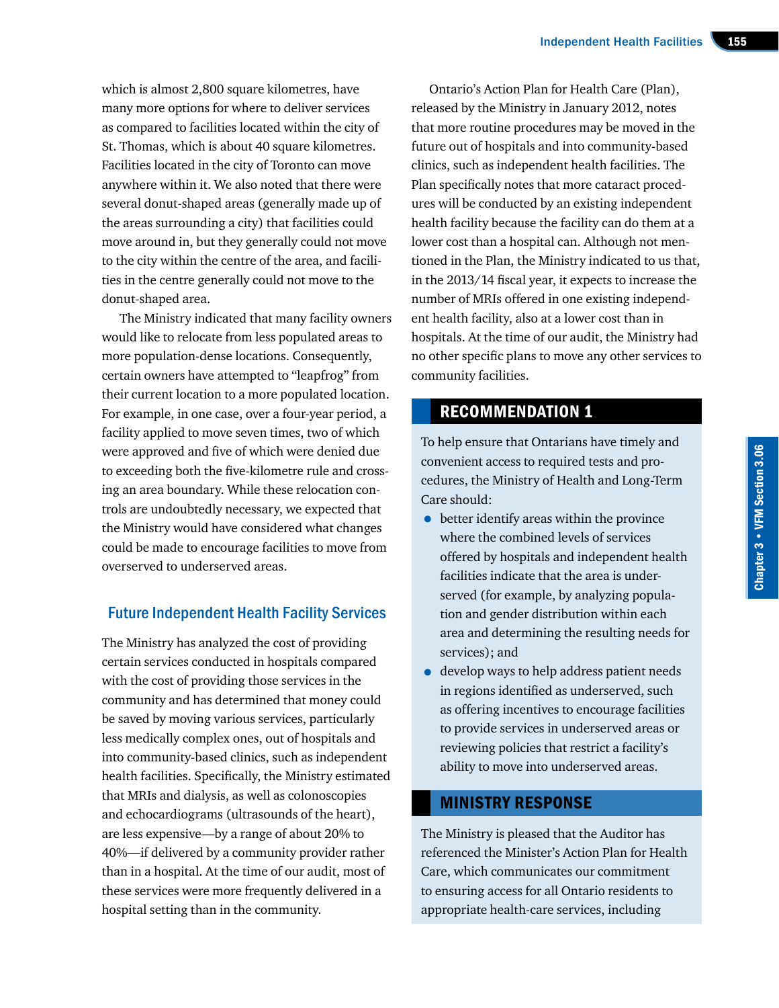which is almost 2,800 square kilometres, have many more options for where to deliver services as compared to facilities located within the city of St. Thomas, which is about 40 square kilometres. Facilities located in the city of Toronto can move anywhere within it. We also noted that there were several donut-shaped areas (generally made up of the areas surrounding a city) that facilities could move around in, but they generally could not move to the city within the centre of the area, and facilities in the centre generally could not move to the donut-shaped area.

The Ministry indicated that many facility owners would like to relocate from less populated areas to more population-dense locations. Consequently, certain owners have attempted to "leapfrog" from their current location to a more populated location. For example, in one case, over a four-year period, a facility applied to move seven times, two of which were approved and five of which were denied due to exceeding both the five-kilometre rule and crossing an area boundary. While these relocation controls are undoubtedly necessary, we expected that the Ministry would have considered what changes could be made to encourage facilities to move from overserved to underserved areas.

# Future Independent Health Facility Services

The Ministry has analyzed the cost of providing certain services conducted in hospitals compared with the cost of providing those services in the community and has determined that money could be saved by moving various services, particularly less medically complex ones, out of hospitals and into community-based clinics, such as independent health facilities. Specifically, the Ministry estimated that MRIs and dialysis, as well as colonoscopies and echocardiograms (ultrasounds of the heart), are less expensive—by a range of about 20% to 40%—if delivered by a community provider rather than in a hospital. At the time of our audit, most of these services were more frequently delivered in a hospital setting than in the community.

Ontario's Action Plan for Health Care (Plan), released by the Ministry in January 2012, notes that more routine procedures may be moved in the future out of hospitals and into community-based clinics, such as independent health facilities. The Plan specifically notes that more cataract procedures will be conducted by an existing independent health facility because the facility can do them at a lower cost than a hospital can. Although not mentioned in the Plan, the Ministry indicated to us that, in the 2013/14 fiscal year, it expects to increase the number of MRIs offered in one existing independent health facility, also at a lower cost than in hospitals. At the time of our audit, the Ministry had no other specific plans to move any other services to community facilities.

# RECOMMENDATION 1

To help ensure that Ontarians have timely and convenient access to required tests and procedures, the Ministry of Health and Long-Term Care should:

- better identify areas within the province where the combined levels of services offered by hospitals and independent health facilities indicate that the area is underserved (for example, by analyzing population and gender distribution within each area and determining the resulting needs for services); and
- develop ways to help address patient needs in regions identified as underserved, such as offering incentives to encourage facilities to provide services in underserved areas or reviewing policies that restrict a facility's ability to move into underserved areas.

# MINISTRY RESPONSE

The Ministry is pleased that the Auditor has referenced the Minister's Action Plan for Health Care, which communicates our commitment to ensuring access for all Ontario residents to appropriate health-care services, including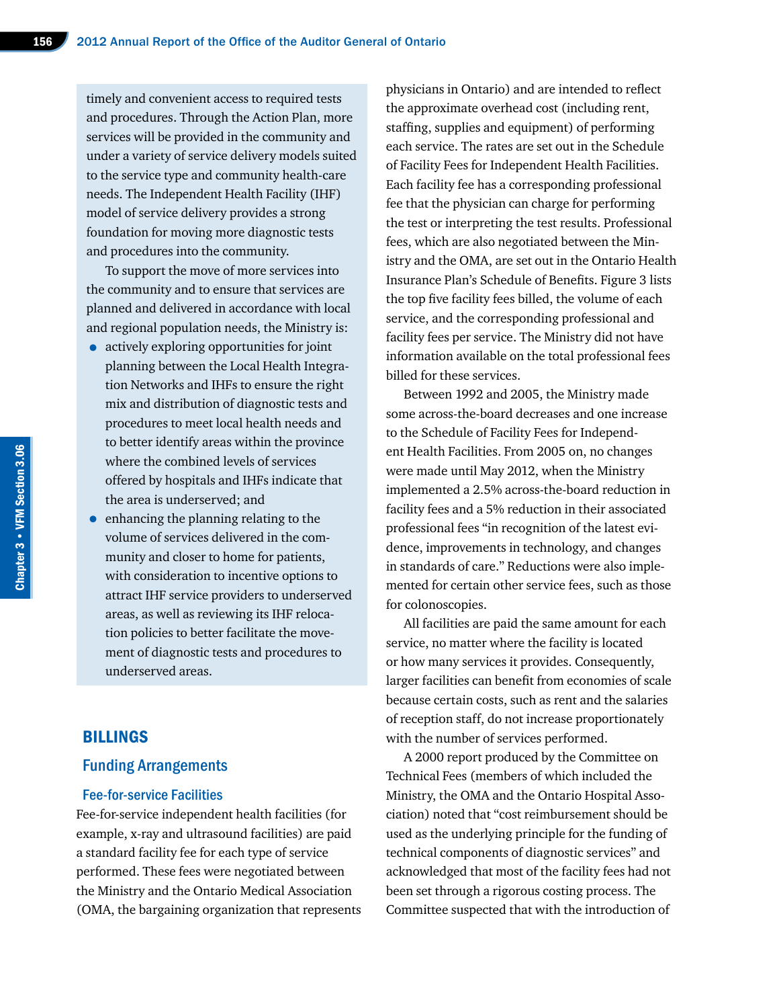timely and convenient access to required tests and procedures. Through the Action Plan, more services will be provided in the community and under a variety of service delivery models suited to the service type and community health-care needs. The Independent Health Facility (IHF) model of service delivery provides a strong foundation for moving more diagnostic tests and procedures into the community.

To support the move of more services into the community and to ensure that services are planned and delivered in accordance with local and regional population needs, the Ministry is:

- actively exploring opportunities for joint planning between the Local Health Integration Networks and IHFs to ensure the right mix and distribution of diagnostic tests and procedures to meet local health needs and to better identify areas within the province where the combined levels of services offered by hospitals and IHFs indicate that the area is underserved; and
- enhancing the planning relating to the volume of services delivered in the community and closer to home for patients, with consideration to incentive options to attract IHF service providers to underserved areas, as well as reviewing its IHF relocation policies to better facilitate the movement of diagnostic tests and procedures to underserved areas.

## BILLINGS

#### Funding Arrangements

#### Fee-for-service Facilities

Fee-for-service independent health facilities (for example, x-ray and ultrasound facilities) are paid a standard facility fee for each type of service performed. These fees were negotiated between the Ministry and the Ontario Medical Association (OMA, the bargaining organization that represents

physicians in Ontario) and are intended to reflect the approximate overhead cost (including rent, staffing, supplies and equipment) of performing each service. The rates are set out in the Schedule of Facility Fees for Independent Health Facilities. Each facility fee has a corresponding professional fee that the physician can charge for performing the test or interpreting the test results. Professional fees, which are also negotiated between the Ministry and the OMA, are set out in the Ontario Health Insurance Plan's Schedule of Benefits. Figure 3 lists the top five facility fees billed, the volume of each service, and the corresponding professional and facility fees per service. The Ministry did not have information available on the total professional fees billed for these services.

Between 1992 and 2005, the Ministry made some across-the-board decreases and one increase to the Schedule of Facility Fees for Independent Health Facilities. From 2005 on, no changes were made until May 2012, when the Ministry implemented a 2.5% across-the-board reduction in facility fees and a 5% reduction in their associated professional fees "in recognition of the latest evidence, improvements in technology, and changes in standards of care." Reductions were also implemented for certain other service fees, such as those for colonoscopies.

All facilities are paid the same amount for each service, no matter where the facility is located or how many services it provides. Consequently, larger facilities can benefit from economies of scale because certain costs, such as rent and the salaries of reception staff, do not increase proportionately with the number of services performed.

A 2000 report produced by the Committee on Technical Fees (members of which included the Ministry, the OMA and the Ontario Hospital Association) noted that "cost reimbursement should be used as the underlying principle for the funding of technical components of diagnostic services" and acknowledged that most of the facility fees had not been set through a rigorous costing process. The Committee suspected that with the introduction of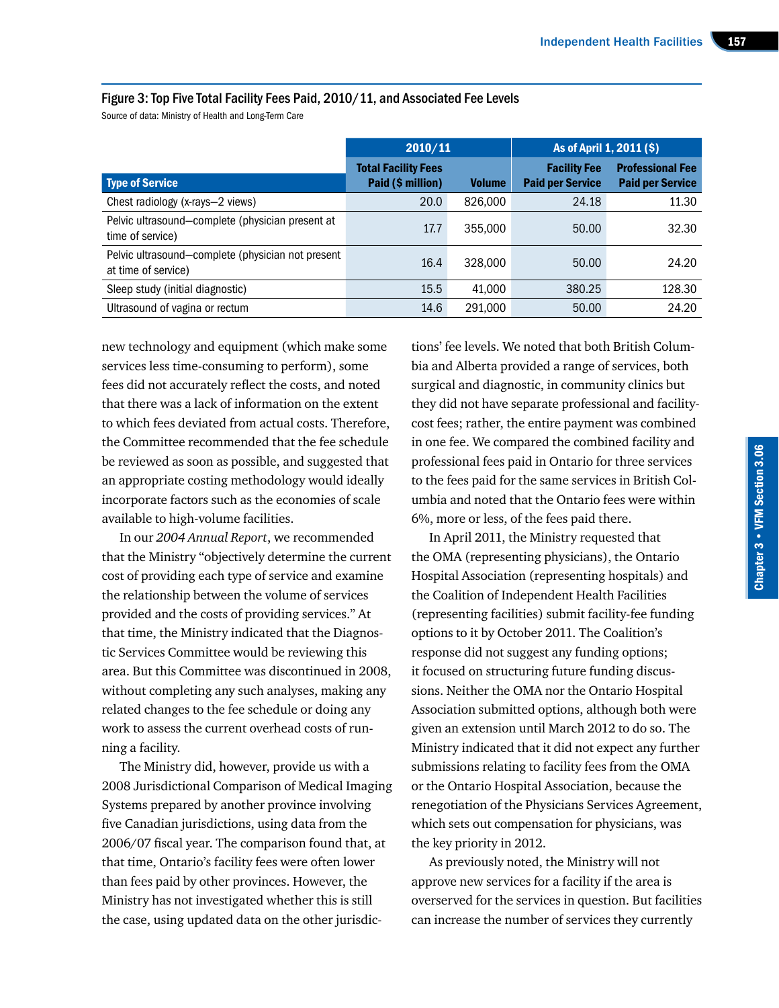#### Figure 3: Top Five Total Facility Fees Paid, 2010/11, and Associated Fee Levels

Source of data: Ministry of Health and Long-Term Care

|                                                                          | 2010/11                                         |               | As of April 1, 2011 (\$)                       |                                                    |
|--------------------------------------------------------------------------|-------------------------------------------------|---------------|------------------------------------------------|----------------------------------------------------|
| <b>Type of Service</b>                                                   | <b>Total Facility Fees</b><br>Paid (\$ million) | <b>Volume</b> | <b>Facility Fee</b><br><b>Paid per Service</b> | <b>Professional Fee</b><br><b>Paid per Service</b> |
| Chest radiology (x-rays-2 views)                                         | 20.0                                            | 826,000       | 24.18                                          | 11.30                                              |
| Pelvic ultrasound-complete (physician present at<br>time of service)     | 17.7                                            | 355,000       | 50.00                                          | 32.30                                              |
| Pelvic ultrasound-complete (physician not present<br>at time of service) | 16.4                                            | 328,000       | 50.00                                          | 24.20                                              |
| Sleep study (initial diagnostic)                                         | 15.5                                            | 41.000        | 380.25                                         | 128.30                                             |
| Ultrasound of vagina or rectum                                           | 14.6                                            | 291,000       | 50.00                                          | 24.20                                              |

new technology and equipment (which make some services less time-consuming to perform), some fees did not accurately reflect the costs, and noted that there was a lack of information on the extent to which fees deviated from actual costs. Therefore, the Committee recommended that the fee schedule be reviewed as soon as possible, and suggested that an appropriate costing methodology would ideally incorporate factors such as the economies of scale available to high-volume facilities.

In our *2004 Annual Report*, we recommended that the Ministry "objectively determine the current cost of providing each type of service and examine the relationship between the volume of services provided and the costs of providing services." At that time, the Ministry indicated that the Diagnostic Services Committee would be reviewing this area. But this Committee was discontinued in 2008, without completing any such analyses, making any related changes to the fee schedule or doing any work to assess the current overhead costs of running a facility.

The Ministry did, however, provide us with a 2008 Jurisdictional Comparison of Medical Imaging Systems prepared by another province involving five Canadian jurisdictions, using data from the 2006/07 fiscal year. The comparison found that, at that time, Ontario's facility fees were often lower than fees paid by other provinces. However, the Ministry has not investigated whether this is still the case, using updated data on the other jurisdic-

tions' fee levels. We noted that both British Columbia and Alberta provided a range of services, both surgical and diagnostic, in community clinics but they did not have separate professional and facilitycost fees; rather, the entire payment was combined in one fee. We compared the combined facility and professional fees paid in Ontario for three services to the fees paid for the same services in British Columbia and noted that the Ontario fees were within 6%, more or less, of the fees paid there.

In April 2011, the Ministry requested that the OMA (representing physicians), the Ontario Hospital Association (representing hospitals) and the Coalition of Independent Health Facilities (representing facilities) submit facility-fee funding options to it by October 2011. The Coalition's response did not suggest any funding options; it focused on structuring future funding discussions. Neither the OMA nor the Ontario Hospital Association submitted options, although both were given an extension until March 2012 to do so. The Ministry indicated that it did not expect any further submissions relating to facility fees from the OMA or the Ontario Hospital Association, because the renegotiation of the Physicians Services Agreement, which sets out compensation for physicians, was the key priority in 2012.

As previously noted, the Ministry will not approve new services for a facility if the area is overserved for the services in question. But facilities can increase the number of services they currently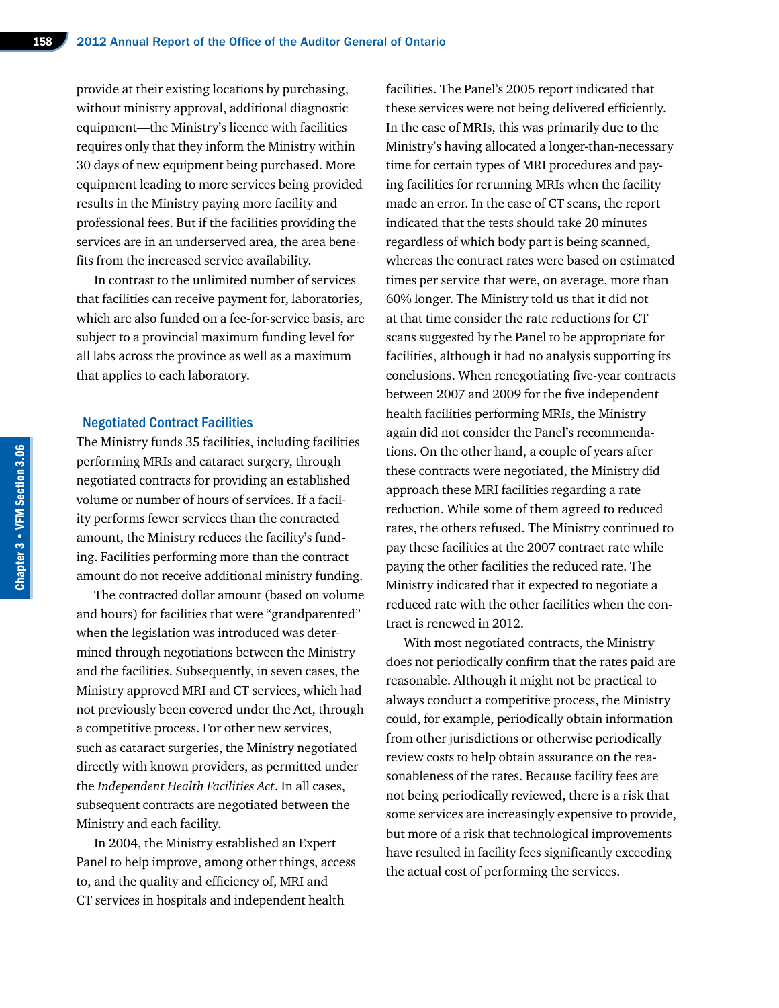provide at their existing locations by purchasing, without ministry approval, additional diagnostic equipment—the Ministry's licence with facilities requires only that they inform the Ministry within 30 days of new equipment being purchased. More equipment leading to more services being provided results in the Ministry paying more facility and professional fees. But if the facilities providing the services are in an underserved area, the area benefits from the increased service availability.

In contrast to the unlimited number of services that facilities can receive payment for, laboratories, which are also funded on a fee-for-service basis, are subject to a provincial maximum funding level for all labs across the province as well as a maximum that applies to each laboratory.

#### Negotiated Contract Facilities

The Ministry funds 35 facilities, including facilities performing MRIs and cataract surgery, through negotiated contracts for providing an established volume or number of hours of services. If a facility performs fewer services than the contracted amount, the Ministry reduces the facility's funding. Facilities performing more than the contract amount do not receive additional ministry funding.

The contracted dollar amount (based on volume and hours) for facilities that were "grandparented" when the legislation was introduced was determined through negotiations between the Ministry and the facilities. Subsequently, in seven cases, the Ministry approved MRI and CT services, which had not previously been covered under the Act, through a competitive process. For other new services, such as cataract surgeries, the Ministry negotiated directly with known providers, as permitted under the *Independent Health Facilities Act*. In all cases, subsequent contracts are negotiated between the Ministry and each facility.

In 2004, the Ministry established an Expert Panel to help improve, among other things, access to, and the quality and efficiency of, MRI and CT services in hospitals and independent health

facilities. The Panel's 2005 report indicated that these services were not being delivered efficiently. In the case of MRIs, this was primarily due to the Ministry's having allocated a longer-than-necessary time for certain types of MRI procedures and paying facilities for rerunning MRIs when the facility made an error. In the case of CT scans, the report indicated that the tests should take 20 minutes regardless of which body part is being scanned, whereas the contract rates were based on estimated times per service that were, on average, more than 60% longer. The Ministry told us that it did not at that time consider the rate reductions for CT scans suggested by the Panel to be appropriate for facilities, although it had no analysis supporting its conclusions. When renegotiating five-year contracts between 2007 and 2009 for the five independent health facilities performing MRIs, the Ministry again did not consider the Panel's recommendations. On the other hand, a couple of years after these contracts were negotiated, the Ministry did approach these MRI facilities regarding a rate reduction. While some of them agreed to reduced rates, the others refused. The Ministry continued to pay these facilities at the 2007 contract rate while paying the other facilities the reduced rate. The Ministry indicated that it expected to negotiate a reduced rate with the other facilities when the contract is renewed in 2012.

With most negotiated contracts, the Ministry does not periodically confirm that the rates paid are reasonable. Although it might not be practical to always conduct a competitive process, the Ministry could, for example, periodically obtain information from other jurisdictions or otherwise periodically review costs to help obtain assurance on the reasonableness of the rates. Because facility fees are not being periodically reviewed, there is a risk that some services are increasingly expensive to provide, but more of a risk that technological improvements have resulted in facility fees significantly exceeding the actual cost of performing the services.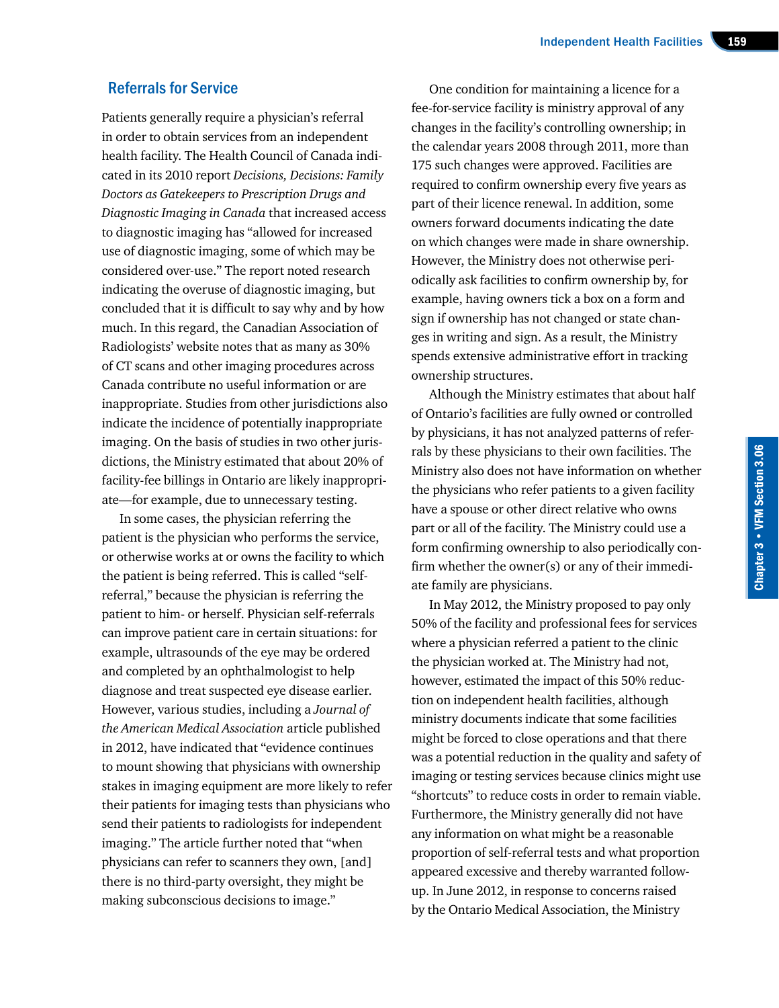#### Referrals for Service

Patients generally require a physician's referral in order to obtain services from an independent health facility. The Health Council of Canada indicated in its 2010 report *Decisions, Decisions: Family Doctors as Gatekeepers to Prescription Drugs and Diagnostic Imaging in Canada* that increased access to diagnostic imaging has "allowed for increased use of diagnostic imaging, some of which may be considered over-use." The report noted research indicating the overuse of diagnostic imaging, but concluded that it is difficult to say why and by how much. In this regard, the Canadian Association of Radiologists' website notes that as many as 30% of CT scans and other imaging procedures across Canada contribute no useful information or are inappropriate. Studies from other jurisdictions also indicate the incidence of potentially inappropriate imaging. On the basis of studies in two other jurisdictions, the Ministry estimated that about 20% of facility-fee billings in Ontario are likely inappropriate—for example, due to unnecessary testing.

In some cases, the physician referring the patient is the physician who performs the service, or otherwise works at or owns the facility to which the patient is being referred. This is called "selfreferral," because the physician is referring the patient to him- or herself. Physician self-referrals can improve patient care in certain situations: for example, ultrasounds of the eye may be ordered and completed by an ophthalmologist to help diagnose and treat suspected eye disease earlier. However, various studies, including a *Journal of the American Medical Association* article published in 2012, have indicated that "evidence continues to mount showing that physicians with ownership stakes in imaging equipment are more likely to refer their patients for imaging tests than physicians who send their patients to radiologists for independent imaging." The article further noted that "when physicians can refer to scanners they own, [and] there is no third-party oversight, they might be making subconscious decisions to image."

One condition for maintaining a licence for a fee-for-service facility is ministry approval of any changes in the facility's controlling ownership; in the calendar years 2008 through 2011, more than 175 such changes were approved. Facilities are required to confirm ownership every five years as part of their licence renewal. In addition, some owners forward documents indicating the date on which changes were made in share ownership. However, the Ministry does not otherwise periodically ask facilities to confirm ownership by, for example, having owners tick a box on a form and sign if ownership has not changed or state changes in writing and sign. As a result, the Ministry spends extensive administrative effort in tracking ownership structures.

Although the Ministry estimates that about half of Ontario's facilities are fully owned or controlled by physicians, it has not analyzed patterns of referrals by these physicians to their own facilities. The Ministry also does not have information on whether the physicians who refer patients to a given facility have a spouse or other direct relative who owns part or all of the facility. The Ministry could use a form confirming ownership to also periodically confirm whether the owner(s) or any of their immediate family are physicians.

In May 2012, the Ministry proposed to pay only 50% of the facility and professional fees for services where a physician referred a patient to the clinic the physician worked at. The Ministry had not, however, estimated the impact of this 50% reduction on independent health facilities, although ministry documents indicate that some facilities might be forced to close operations and that there was a potential reduction in the quality and safety of imaging or testing services because clinics might use "shortcuts" to reduce costs in order to remain viable. Furthermore, the Ministry generally did not have any information on what might be a reasonable proportion of self-referral tests and what proportion appeared excessive and thereby warranted followup. In June 2012, in response to concerns raised by the Ontario Medical Association, the Ministry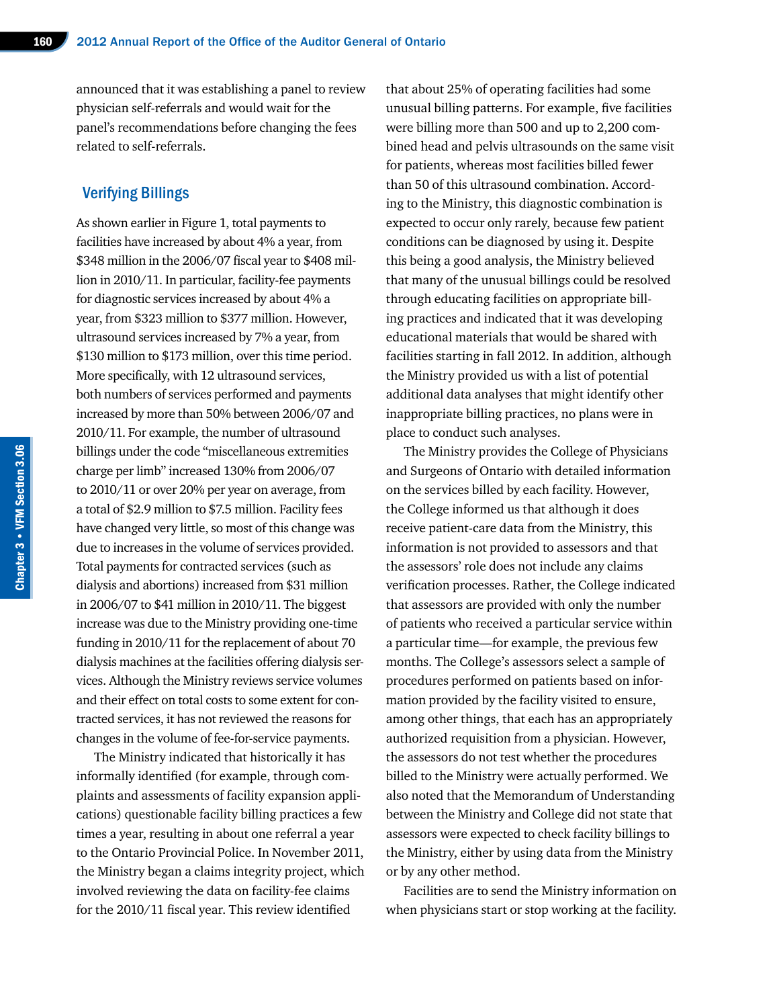announced that it was establishing a panel to review physician self-referrals and would wait for the panel's recommendations before changing the fees related to self-referrals.

#### Verifying Billings

As shown earlier in Figure 1, total payments to facilities have increased by about 4% a year, from \$348 million in the 2006/07 fiscal year to \$408 million in 2010/11. In particular, facility-fee payments for diagnostic services increased by about 4% a year, from \$323 million to \$377 million. However, ultrasound services increased by 7% a year, from \$130 million to \$173 million, over this time period. More specifically, with 12 ultrasound services, both numbers of services performed and payments increased by more than 50% between 2006/07 and 2010/11. For example, the number of ultrasound billings under the code "miscellaneous extremities charge per limb" increased 130% from 2006/07 to 2010/11 or over 20% per year on average, from a total of \$2.9 million to \$7.5 million. Facility fees have changed very little, so most of this change was due to increases in the volume of services provided. Total payments for contracted services (such as dialysis and abortions) increased from \$31 million in 2006/07 to \$41 million in 2010/11. The biggest increase was due to the Ministry providing one-time funding in 2010/11 for the replacement of about 70 dialysis machines at the facilities offering dialysis services. Although the Ministry reviews service volumes and their effect on total costs to some extent for contracted services, it has not reviewed the reasons for changes in the volume of fee-for-service payments.

The Ministry indicated that historically it has informally identified (for example, through complaints and assessments of facility expansion applications) questionable facility billing practices a few times a year, resulting in about one referral a year to the Ontario Provincial Police. In November 2011, the Ministry began a claims integrity project, which involved reviewing the data on facility-fee claims for the 2010/11 fiscal year. This review identified

that about 25% of operating facilities had some unusual billing patterns. For example, five facilities were billing more than 500 and up to 2,200 combined head and pelvis ultrasounds on the same visit for patients, whereas most facilities billed fewer than 50 of this ultrasound combination. According to the Ministry, this diagnostic combination is expected to occur only rarely, because few patient conditions can be diagnosed by using it. Despite this being a good analysis, the Ministry believed that many of the unusual billings could be resolved through educating facilities on appropriate billing practices and indicated that it was developing educational materials that would be shared with facilities starting in fall 2012. In addition, although the Ministry provided us with a list of potential additional data analyses that might identify other inappropriate billing practices, no plans were in place to conduct such analyses.

The Ministry provides the College of Physicians and Surgeons of Ontario with detailed information on the services billed by each facility. However, the College informed us that although it does receive patient-care data from the Ministry, this information is not provided to assessors and that the assessors' role does not include any claims verification processes. Rather, the College indicated that assessors are provided with only the number of patients who received a particular service within a particular time—for example, the previous few months. The College's assessors select a sample of procedures performed on patients based on information provided by the facility visited to ensure, among other things, that each has an appropriately authorized requisition from a physician. However, the assessors do not test whether the procedures billed to the Ministry were actually performed. We also noted that the Memorandum of Understanding between the Ministry and College did not state that assessors were expected to check facility billings to the Ministry, either by using data from the Ministry or by any other method.

Facilities are to send the Ministry information on when physicians start or stop working at the facility.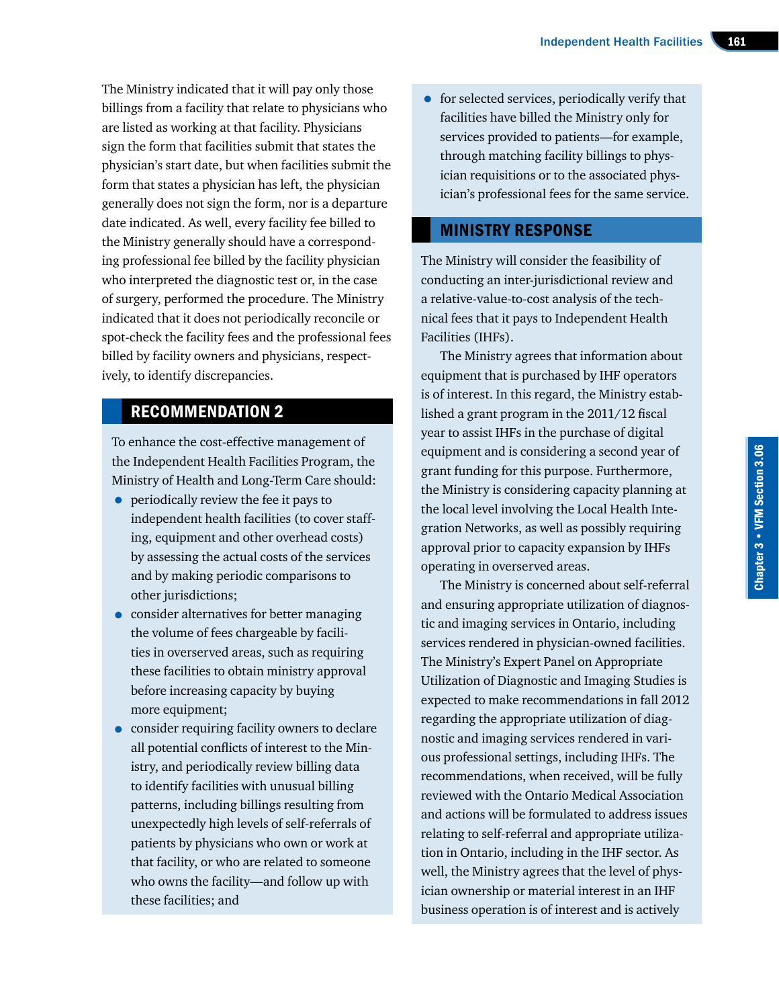The Ministry indicated that it will pay only those billings from a facility that relate to physicians who are listed as working at that facility. Physicians sign the form that facilities submit that states the physician's start date, but when facilities submit the form that states a physician has left, the physician generally does not sign the form, nor is a departure date indicated. As well, every facility fee billed to the Ministry generally should have a corresponding professional fee billed by the facility physician who interpreted the diagnostic test or, in the case of surgery, performed the procedure. The Ministry indicated that it does not periodically reconcile or spot-check the facility fees and the professional fees billed by facility owners and physicians, respectively, to identify discrepancies.

# RECOMMENDATION 2

To enhance the cost-effective management of the Independent Health Facilities Program, the Ministry of Health and Long-Term Care should:

- periodically review the fee it pays to independent health facilities (to cover staffing, equipment and other overhead costs) by assessing the actual costs of the services and by making periodic comparisons to other jurisdictions;
- consider alternatives for better managing the volume of fees chargeable by facilities in overserved areas, such as requiring these facilities to obtain ministry approval before increasing capacity by buying more equipment;
- consider requiring facility owners to declare all potential conflicts of interest to the Ministry, and periodically review billing data to identify facilities with unusual billing patterns, including billings resulting from unexpectedly high levels of self-referrals of patients by physicians who own or work at that facility, or who are related to someone who owns the facility—and follow up with these facilities; and

• for selected services, periodically verify that facilities have billed the Ministry only for services provided to patients—for example, through matching facility billings to physician requisitions or to the associated physician's professional fees for the same service.

# MINISTRY RESPONSE

The Ministry will consider the feasibility of conducting an inter-jurisdictional review and a relative-value-to-cost analysis of the technical fees that it pays to Independent Health Facilities (IHFs).

The Ministry agrees that information about equipment that is purchased by IHF operators is of interest. In this regard, the Ministry established a grant program in the 2011/12 fiscal year to assist IHFs in the purchase of digital equipment and is considering a second year of grant funding for this purpose. Furthermore, the Ministry is considering capacity planning at the local level involving the Local Health Integration Networks, as well as possibly requiring approval prior to capacity expansion by IHFs operating in overserved areas.

The Ministry is concerned about self-referral and ensuring appropriate utilization of diagnostic and imaging services in Ontario, including services rendered in physician-owned facilities. The Ministry's Expert Panel on Appropriate Utilization of Diagnostic and Imaging Studies is expected to make recommendations in fall 2012 regarding the appropriate utilization of diagnostic and imaging services rendered in various professional settings, including IHFs. The recommendations, when received, will be fully reviewed with the Ontario Medical Association and actions will be formulated to address issues relating to self-referral and appropriate utilization in Ontario, including in the IHF sector. As well, the Ministry agrees that the level of physician ownership or material interest in an IHF business operation is of interest and is actively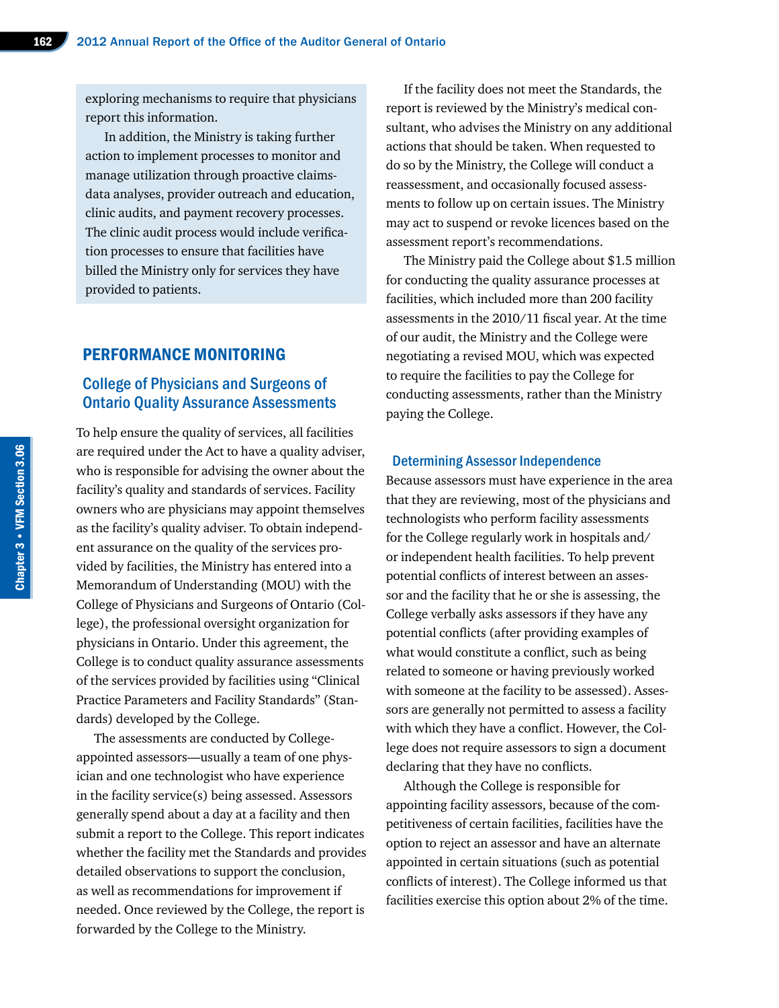exploring mechanisms to require that physicians report this information.

In addition, the Ministry is taking further action to implement processes to monitor and manage utilization through proactive claimsdata analyses, provider outreach and education, clinic audits, and payment recovery processes. The clinic audit process would include verification processes to ensure that facilities have billed the Ministry only for services they have provided to patients.

#### PERFORMANCE MONITORING

## College of Physicians and Surgeons of Ontario Quality Assurance Assessments

To help ensure the quality of services, all facilities are required under the Act to have a quality adviser, who is responsible for advising the owner about the facility's quality and standards of services. Facility owners who are physicians may appoint themselves as the facility's quality adviser. To obtain independent assurance on the quality of the services provided by facilities, the Ministry has entered into a Memorandum of Understanding (MOU) with the College of Physicians and Surgeons of Ontario (College), the professional oversight organization for physicians in Ontario. Under this agreement, the College is to conduct quality assurance assessments of the services provided by facilities using "Clinical Practice Parameters and Facility Standards" (Standards) developed by the College.

The assessments are conducted by Collegeappointed assessors—usually a team of one physician and one technologist who have experience in the facility service(s) being assessed. Assessors generally spend about a day at a facility and then submit a report to the College. This report indicates whether the facility met the Standards and provides detailed observations to support the conclusion, as well as recommendations for improvement if needed. Once reviewed by the College, the report is forwarded by the College to the Ministry.

If the facility does not meet the Standards, the report is reviewed by the Ministry's medical consultant, who advises the Ministry on any additional actions that should be taken. When requested to do so by the Ministry, the College will conduct a reassessment, and occasionally focused assessments to follow up on certain issues. The Ministry may act to suspend or revoke licences based on the assessment report's recommendations.

The Ministry paid the College about \$1.5 million for conducting the quality assurance processes at facilities, which included more than 200 facility assessments in the 2010/11 fiscal year. At the time of our audit, the Ministry and the College were negotiating a revised MOU, which was expected to require the facilities to pay the College for conducting assessments, rather than the Ministry paying the College.

#### Determining Assessor Independence

Because assessors must have experience in the area that they are reviewing, most of the physicians and technologists who perform facility assessments for the College regularly work in hospitals and/ or independent health facilities. To help prevent potential conflicts of interest between an assessor and the facility that he or she is assessing, the College verbally asks assessors if they have any potential conflicts (after providing examples of what would constitute a conflict, such as being related to someone or having previously worked with someone at the facility to be assessed). Assessors are generally not permitted to assess a facility with which they have a conflict. However, the College does not require assessors to sign a document declaring that they have no conflicts.

Although the College is responsible for appointing facility assessors, because of the competitiveness of certain facilities, facilities have the option to reject an assessor and have an alternate appointed in certain situations (such as potential conflicts of interest). The College informed us that facilities exercise this option about 2% of the time.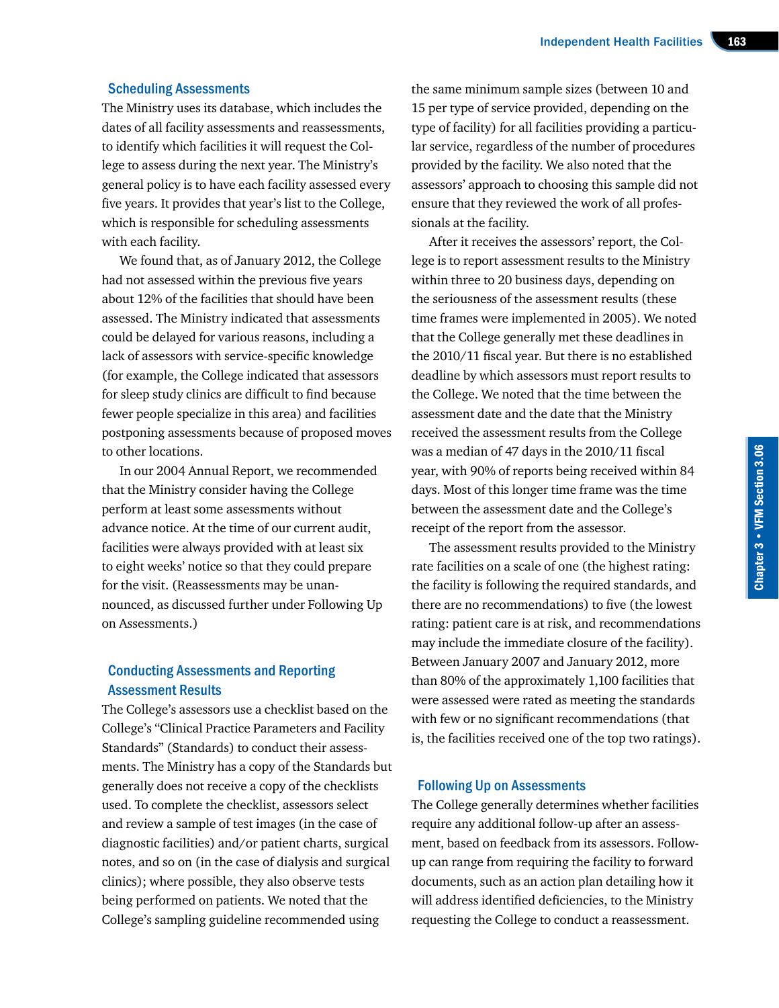#### Scheduling Assessments

The Ministry uses its database, which includes the dates of all facility assessments and reassessments, to identify which facilities it will request the College to assess during the next year. The Ministry's general policy is to have each facility assessed every five years. It provides that year's list to the College, which is responsible for scheduling assessments with each facility.

We found that, as of January 2012, the College had not assessed within the previous five years about 12% of the facilities that should have been assessed. The Ministry indicated that assessments could be delayed for various reasons, including a lack of assessors with service-specific knowledge (for example, the College indicated that assessors for sleep study clinics are difficult to find because fewer people specialize in this area) and facilities postponing assessments because of proposed moves to other locations.

In our 2004 Annual Report, we recommended that the Ministry consider having the College perform at least some assessments without advance notice. At the time of our current audit, facilities were always provided with at least six to eight weeks' notice so that they could prepare for the visit. (Reassessments may be unannounced, as discussed further under Following Up on Assessments.)

#### Conducting Assessments and Reporting Assessment Results

The College's assessors use a checklist based on the College's "Clinical Practice Parameters and Facility Standards" (Standards) to conduct their assessments. The Ministry has a copy of the Standards but generally does not receive a copy of the checklists used. To complete the checklist, assessors select and review a sample of test images (in the case of diagnostic facilities) and/or patient charts, surgical notes, and so on (in the case of dialysis and surgical clinics); where possible, they also observe tests being performed on patients. We noted that the College's sampling guideline recommended using

the same minimum sample sizes (between 10 and 15 per type of service provided, depending on the type of facility) for all facilities providing a particular service, regardless of the number of procedures provided by the facility. We also noted that the assessors' approach to choosing this sample did not ensure that they reviewed the work of all professionals at the facility.

After it receives the assessors' report, the College is to report assessment results to the Ministry within three to 20 business days, depending on the seriousness of the assessment results (these time frames were implemented in 2005). We noted that the College generally met these deadlines in the 2010/11 fiscal year. But there is no established deadline by which assessors must report results to the College. We noted that the time between the assessment date and the date that the Ministry received the assessment results from the College was a median of 47 days in the 2010/11 fiscal year, with 90% of reports being received within 84 days. Most of this longer time frame was the time between the assessment date and the College's receipt of the report from the assessor.

The assessment results provided to the Ministry rate facilities on a scale of one (the highest rating: the facility is following the required standards, and there are no recommendations) to five (the lowest rating: patient care is at risk, and recommendations may include the immediate closure of the facility). Between January 2007 and January 2012, more than 80% of the approximately 1,100 facilities that were assessed were rated as meeting the standards with few or no significant recommendations (that is, the facilities received one of the top two ratings).

#### Following Up on Assessments

The College generally determines whether facilities require any additional follow-up after an assessment, based on feedback from its assessors. Followup can range from requiring the facility to forward documents, such as an action plan detailing how it will address identified deficiencies, to the Ministry requesting the College to conduct a reassessment.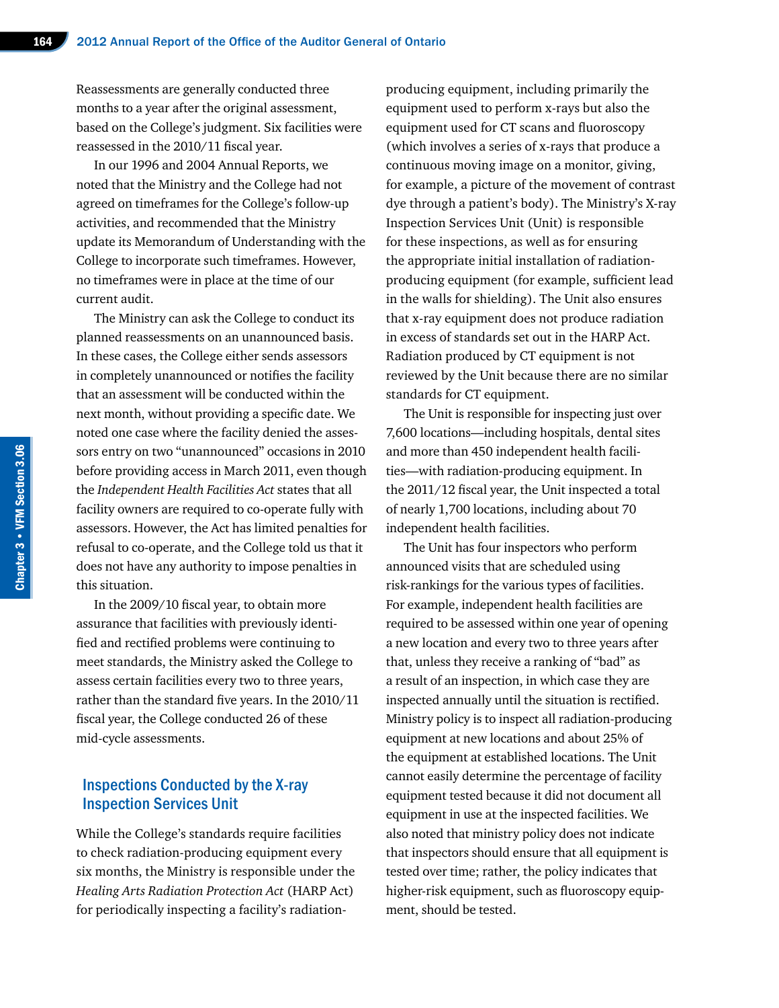Reassessments are generally conducted three months to a year after the original assessment, based on the College's judgment. Six facilities were reassessed in the 2010/11 fiscal year.

In our 1996 and 2004 Annual Reports, we noted that the Ministry and the College had not agreed on timeframes for the College's follow-up activities, and recommended that the Ministry update its Memorandum of Understanding with the College to incorporate such timeframes. However, no timeframes were in place at the time of our current audit.

The Ministry can ask the College to conduct its planned reassessments on an unannounced basis. In these cases, the College either sends assessors in completely unannounced or notifies the facility that an assessment will be conducted within the next month, without providing a specific date. We noted one case where the facility denied the assessors entry on two "unannounced" occasions in 2010 before providing access in March 2011, even though the *Independent Health Facilities Act* states that all facility owners are required to co-operate fully with assessors. However, the Act has limited penalties for refusal to co-operate, and the College told us that it does not have any authority to impose penalties in this situation.

In the 2009/10 fiscal year, to obtain more assurance that facilities with previously identified and rectified problems were continuing to meet standards, the Ministry asked the College to assess certain facilities every two to three years, rather than the standard five years. In the 2010/11 fiscal year, the College conducted 26 of these mid-cycle assessments.

## Inspections Conducted by the X-ray Inspection Services Unit

While the College's standards require facilities to check radiation-producing equipment every six months, the Ministry is responsible under the *Healing Arts Radiation Protection Act* (HARP Act) for periodically inspecting a facility's radiationproducing equipment, including primarily the equipment used to perform x-rays but also the equipment used for CT scans and fluoroscopy (which involves a series of x-rays that produce a continuous moving image on a monitor, giving, for example, a picture of the movement of contrast dye through a patient's body). The Ministry's X-ray Inspection Services Unit (Unit) is responsible for these inspections, as well as for ensuring the appropriate initial installation of radiationproducing equipment (for example, sufficient lead in the walls for shielding). The Unit also ensures that x-ray equipment does not produce radiation in excess of standards set out in the HARP Act. Radiation produced by CT equipment is not reviewed by the Unit because there are no similar standards for CT equipment.

The Unit is responsible for inspecting just over 7,600 locations—including hospitals, dental sites and more than 450 independent health facilities—with radiation-producing equipment. In the 2011/12 fiscal year, the Unit inspected a total of nearly 1,700 locations, including about 70 independent health facilities.

The Unit has four inspectors who perform announced visits that are scheduled using risk-rankings for the various types of facilities. For example, independent health facilities are required to be assessed within one year of opening a new location and every two to three years after that, unless they receive a ranking of "bad" as a result of an inspection, in which case they are inspected annually until the situation is rectified. Ministry policy is to inspect all radiation-producing equipment at new locations and about 25% of the equipment at established locations. The Unit cannot easily determine the percentage of facility equipment tested because it did not document all equipment in use at the inspected facilities. We also noted that ministry policy does not indicate that inspectors should ensure that all equipment is tested over time; rather, the policy indicates that higher-risk equipment, such as fluoroscopy equipment, should be tested.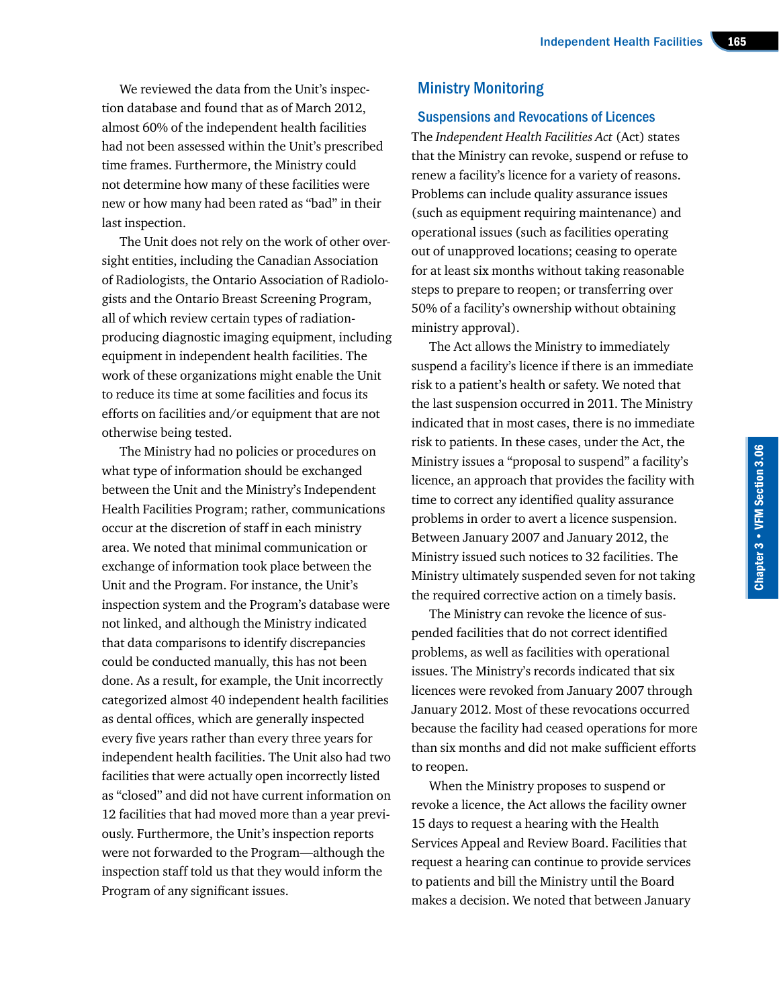We reviewed the data from the Unit's inspection database and found that as of March 2012, almost 60% of the independent health facilities had not been assessed within the Unit's prescribed time frames. Furthermore, the Ministry could not determine how many of these facilities were new or how many had been rated as "bad" in their last inspection.

The Unit does not rely on the work of other oversight entities, including the Canadian Association of Radiologists, the Ontario Association of Radiologists and the Ontario Breast Screening Program, all of which review certain types of radiationproducing diagnostic imaging equipment, including equipment in independent health facilities. The work of these organizations might enable the Unit to reduce its time at some facilities and focus its efforts on facilities and/or equipment that are not otherwise being tested.

The Ministry had no policies or procedures on what type of information should be exchanged between the Unit and the Ministry's Independent Health Facilities Program; rather, communications occur at the discretion of staff in each ministry area. We noted that minimal communication or exchange of information took place between the Unit and the Program. For instance, the Unit's inspection system and the Program's database were not linked, and although the Ministry indicated that data comparisons to identify discrepancies could be conducted manually, this has not been done. As a result, for example, the Unit incorrectly categorized almost 40 independent health facilities as dental offices, which are generally inspected every five years rather than every three years for independent health facilities. The Unit also had two facilities that were actually open incorrectly listed as "closed" and did not have current information on 12 facilities that had moved more than a year previously. Furthermore, the Unit's inspection reports were not forwarded to the Program—although the inspection staff told us that they would inform the Program of any significant issues.

# Ministry Monitoring

#### Suspensions and Revocations of Licences

The *Independent Health Facilities Act* (Act) states that the Ministry can revoke, suspend or refuse to renew a facility's licence for a variety of reasons. Problems can include quality assurance issues (such as equipment requiring maintenance) and operational issues (such as facilities operating out of unapproved locations; ceasing to operate for at least six months without taking reasonable steps to prepare to reopen; or transferring over 50% of a facility's ownership without obtaining ministry approval).

The Act allows the Ministry to immediately suspend a facility's licence if there is an immediate risk to a patient's health or safety. We noted that the last suspension occurred in 2011. The Ministry indicated that in most cases, there is no immediate risk to patients. In these cases, under the Act, the Ministry issues a "proposal to suspend" a facility's licence, an approach that provides the facility with time to correct any identified quality assurance problems in order to avert a licence suspension. Between January 2007 and January 2012, the Ministry issued such notices to 32 facilities. The Ministry ultimately suspended seven for not taking the required corrective action on a timely basis.

The Ministry can revoke the licence of suspended facilities that do not correct identified problems, as well as facilities with operational issues. The Ministry's records indicated that six licences were revoked from January 2007 through January 2012. Most of these revocations occurred because the facility had ceased operations for more than six months and did not make sufficient efforts to reopen.

When the Ministry proposes to suspend or revoke a licence, the Act allows the facility owner 15 days to request a hearing with the Health Services Appeal and Review Board. Facilities that request a hearing can continue to provide services to patients and bill the Ministry until the Board makes a decision. We noted that between January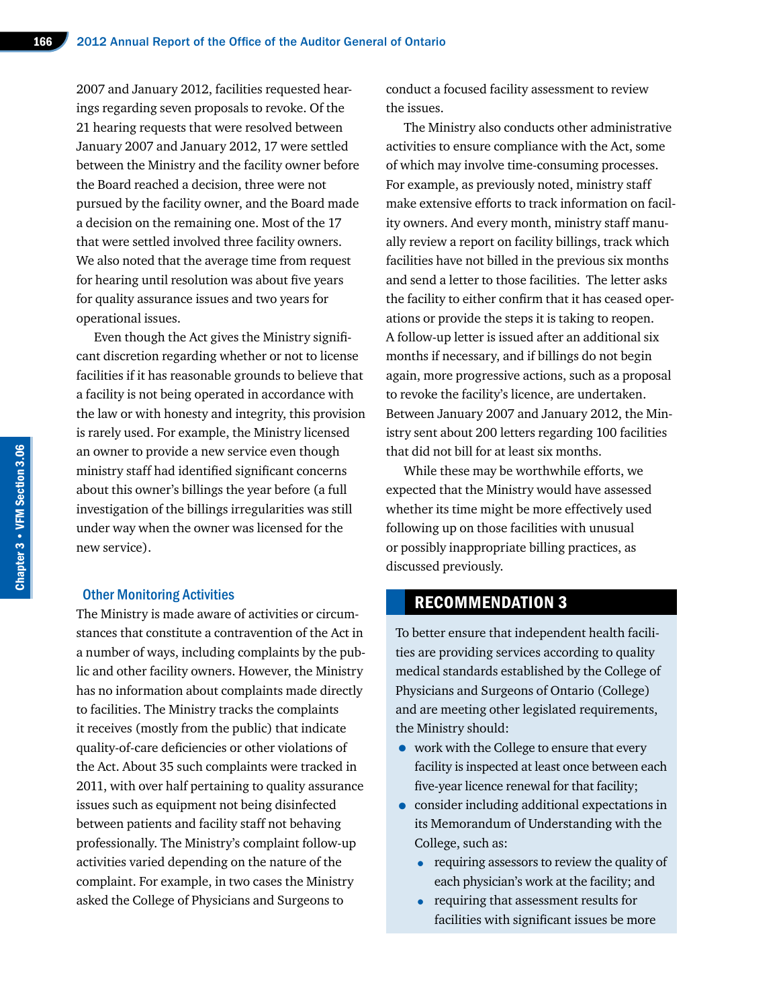2007 and January 2012, facilities requested hearings regarding seven proposals to revoke. Of the 21 hearing requests that were resolved between January 2007 and January 2012, 17 were settled between the Ministry and the facility owner before the Board reached a decision, three were not pursued by the facility owner, and the Board made a decision on the remaining one. Most of the 17 that were settled involved three facility owners. We also noted that the average time from request for hearing until resolution was about five years for quality assurance issues and two years for operational issues.

Even though the Act gives the Ministry significant discretion regarding whether or not to license facilities if it has reasonable grounds to believe that a facility is not being operated in accordance with the law or with honesty and integrity, this provision is rarely used. For example, the Ministry licensed an owner to provide a new service even though ministry staff had identified significant concerns about this owner's billings the year before (a full investigation of the billings irregularities was still under way when the owner was licensed for the new service).

#### Other Monitoring Activities

The Ministry is made aware of activities or circumstances that constitute a contravention of the Act in a number of ways, including complaints by the public and other facility owners. However, the Ministry has no information about complaints made directly to facilities. The Ministry tracks the complaints it receives (mostly from the public) that indicate quality-of-care deficiencies or other violations of the Act. About 35 such complaints were tracked in 2011, with over half pertaining to quality assurance issues such as equipment not being disinfected between patients and facility staff not behaving professionally. The Ministry's complaint follow-up activities varied depending on the nature of the complaint. For example, in two cases the Ministry asked the College of Physicians and Surgeons to

conduct a focused facility assessment to review the issues.

The Ministry also conducts other administrative activities to ensure compliance with the Act, some of which may involve time-consuming processes. For example, as previously noted, ministry staff make extensive efforts to track information on facility owners. And every month, ministry staff manually review a report on facility billings, track which facilities have not billed in the previous six months and send a letter to those facilities. The letter asks the facility to either confirm that it has ceased operations or provide the steps it is taking to reopen. A follow-up letter is issued after an additional six months if necessary, and if billings do not begin again, more progressive actions, such as a proposal to revoke the facility's licence, are undertaken. Between January 2007 and January 2012, the Ministry sent about 200 letters regarding 100 facilities that did not bill for at least six months.

While these may be worthwhile efforts, we expected that the Ministry would have assessed whether its time might be more effectively used following up on those facilities with unusual or possibly inappropriate billing practices, as discussed previously.

## RECOMMENDATION 3

To better ensure that independent health facilities are providing services according to quality medical standards established by the College of Physicians and Surgeons of Ontario (College) and are meeting other legislated requirements, the Ministry should:

- work with the College to ensure that every facility is inspected at least once between each five-year licence renewal for that facility;
- consider including additional expectations in its Memorandum of Understanding with the College, such as:
	- requiring assessors to review the quality of each physician's work at the facility; and
	- requiring that assessment results for facilities with significant issues be more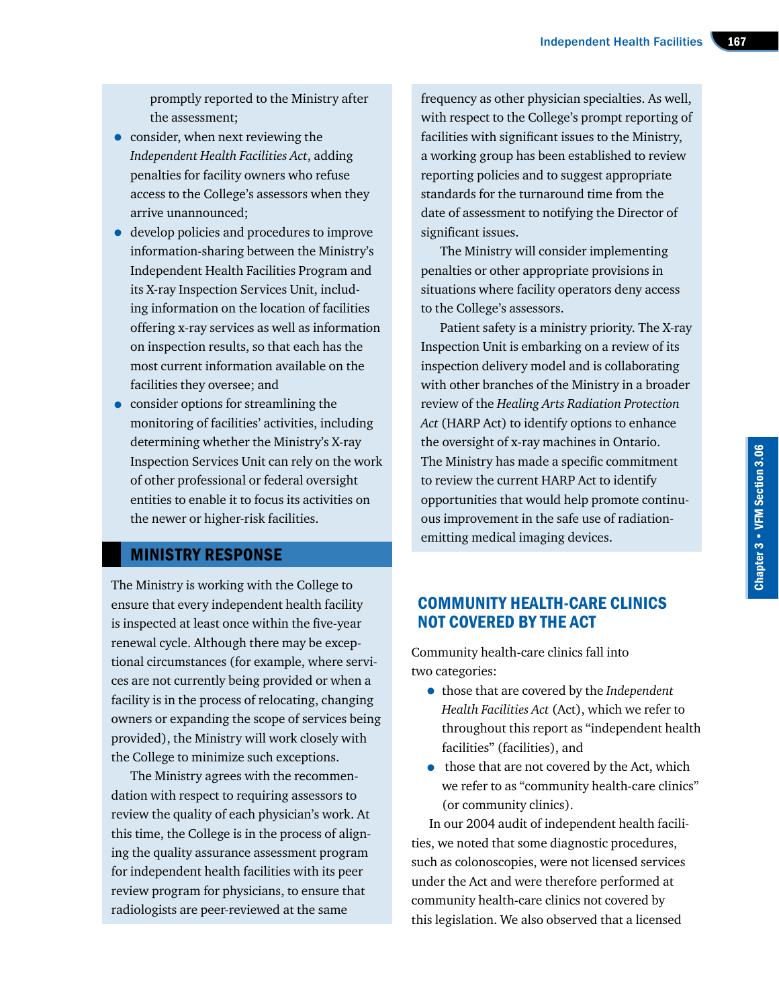promptly reported to the Ministry after the assessment;

- consider, when next reviewing the *Independent Health Facilities Act*, adding penalties for facility owners who refuse access to the College's assessors when they arrive unannounced;
- develop policies and procedures to improve information-sharing between the Ministry's Independent Health Facilities Program and its X-ray Inspection Services Unit, including information on the location of facilities offering x-ray services as well as information on inspection results, so that each has the most current information available on the facilities they oversee; and
- consider options for streamlining the monitoring of facilities' activities, including determining whether the Ministry's X-ray Inspection Services Unit can rely on the work of other professional or federal oversight entities to enable it to focus its activities on the newer or higher-risk facilities.

# MINISTRY RESPONSE

The Ministry is working with the College to ensure that every independent health facility is inspected at least once within the five-year renewal cycle. Although there may be exceptional circumstances (for example, where services are not currently being provided or when a facility is in the process of relocating, changing owners or expanding the scope of services being provided), the Ministry will work closely with the College to minimize such exceptions.

The Ministry agrees with the recommendation with respect to requiring assessors to review the quality of each physician's work. At this time, the College is in the process of aligning the quality assurance assessment program for independent health facilities with its peer review program for physicians, to ensure that radiologists are peer-reviewed at the same

frequency as other physician specialties. As well, with respect to the College's prompt reporting of facilities with significant issues to the Ministry, a working group has been established to review reporting policies and to suggest appropriate standards for the turnaround time from the date of assessment to notifying the Director of significant issues.

The Ministry will consider implementing penalties or other appropriate provisions in situations where facility operators deny access to the College's assessors.

Patient safety is a ministry priority. The X-ray Inspection Unit is embarking on a review of its inspection delivery model and is collaborating with other branches of the Ministry in a broader review of the *Healing Arts Radiation Protection Act* (HARP Act) to identify options to enhance the oversight of x-ray machines in Ontario. The Ministry has made a specific commitment to review the current HARP Act to identify opportunities that would help promote continuous improvement in the safe use of radiationemitting medical imaging devices.

# COMMUNITY HEALTH-CARE CLINICS NOT COVERED BY THE ACT

Community health-care clinics fall into two categories:

- those that are covered by the *Independent Health Facilities Act* (Act), which we refer to throughout this report as "independent health facilities" (facilities), and
- those that are not covered by the Act, which we refer to as "community health-care clinics" (or community clinics).

In our 2004 audit of independent health facilities, we noted that some diagnostic procedures, such as colonoscopies, were not licensed services under the Act and were therefore performed at community health-care clinics not covered by this legislation. We also observed that a licensed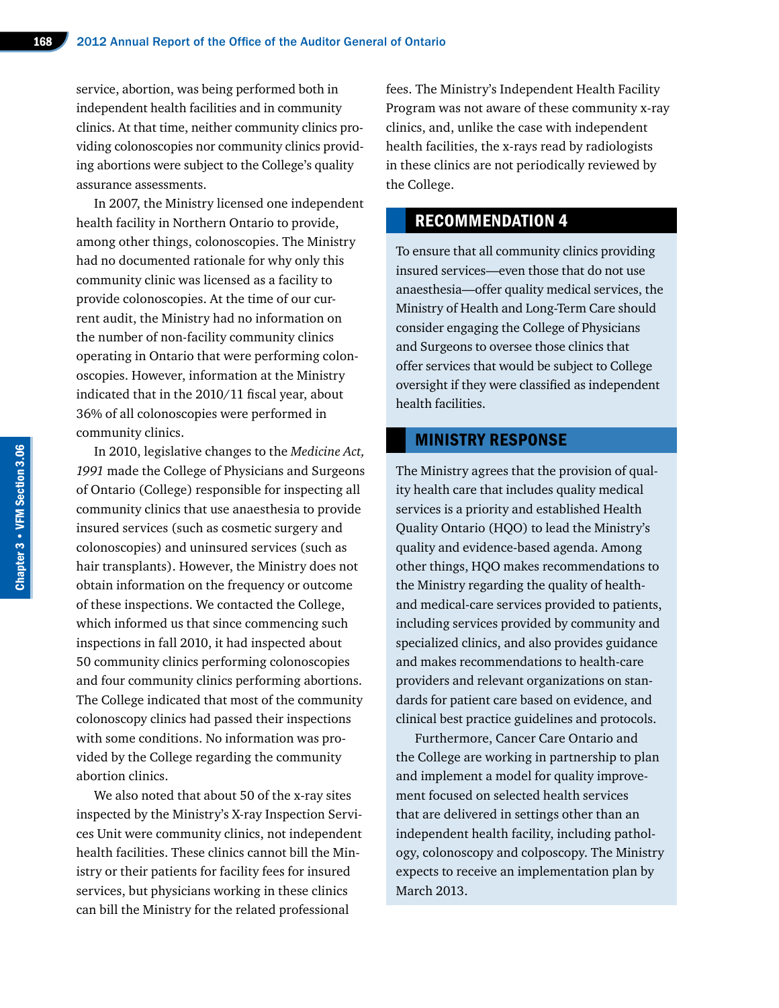service, abortion, was being performed both in independent health facilities and in community clinics. At that time, neither community clinics providing colonoscopies nor community clinics providing abortions were subject to the College's quality assurance assessments.

In 2007, the Ministry licensed one independent health facility in Northern Ontario to provide, among other things, colonoscopies. The Ministry had no documented rationale for why only this community clinic was licensed as a facility to provide colonoscopies. At the time of our current audit, the Ministry had no information on the number of non-facility community clinics operating in Ontario that were performing colonoscopies. However, information at the Ministry indicated that in the 2010/11 fiscal year, about 36% of all colonoscopies were performed in community clinics.

In 2010, legislative changes to the *Medicine Act, 1991* made the College of Physicians and Surgeons of Ontario (College) responsible for inspecting all community clinics that use anaesthesia to provide insured services (such as cosmetic surgery and colonoscopies) and uninsured services (such as hair transplants). However, the Ministry does not obtain information on the frequency or outcome of these inspections. We contacted the College, which informed us that since commencing such inspections in fall 2010, it had inspected about 50 community clinics performing colonoscopies and four community clinics performing abortions. The College indicated that most of the community colonoscopy clinics had passed their inspections with some conditions. No information was provided by the College regarding the community abortion clinics.

We also noted that about 50 of the x-ray sites inspected by the Ministry's X-ray Inspection Services Unit were community clinics, not independent health facilities. These clinics cannot bill the Ministry or their patients for facility fees for insured services, but physicians working in these clinics can bill the Ministry for the related professional

fees. The Ministry's Independent Health Facility Program was not aware of these community x-ray clinics, and, unlike the case with independent health facilities, the x-rays read by radiologists in these clinics are not periodically reviewed by the College.

# RECOMMENDATION 4

To ensure that all community clinics providing insured services—even those that do not use anaesthesia—offer quality medical services, the Ministry of Health and Long-Term Care should consider engaging the College of Physicians and Surgeons to oversee those clinics that offer services that would be subject to College oversight if they were classified as independent health facilities.

#### MINISTRY RESPONSE

The Ministry agrees that the provision of quality health care that includes quality medical services is a priority and established Health Quality Ontario (HQO) to lead the Ministry's quality and evidence-based agenda. Among other things, HQO makes recommendations to the Ministry regarding the quality of healthand medical-care services provided to patients, including services provided by community and specialized clinics, and also provides guidance and makes recommendations to health-care providers and relevant organizations on standards for patient care based on evidence, and clinical best practice guidelines and protocols.

Furthermore, Cancer Care Ontario and the College are working in partnership to plan and implement a model for quality improvement focused on selected health services that are delivered in settings other than an independent health facility, including pathology, colonoscopy and colposcopy. The Ministry expects to receive an implementation plan by March 2013.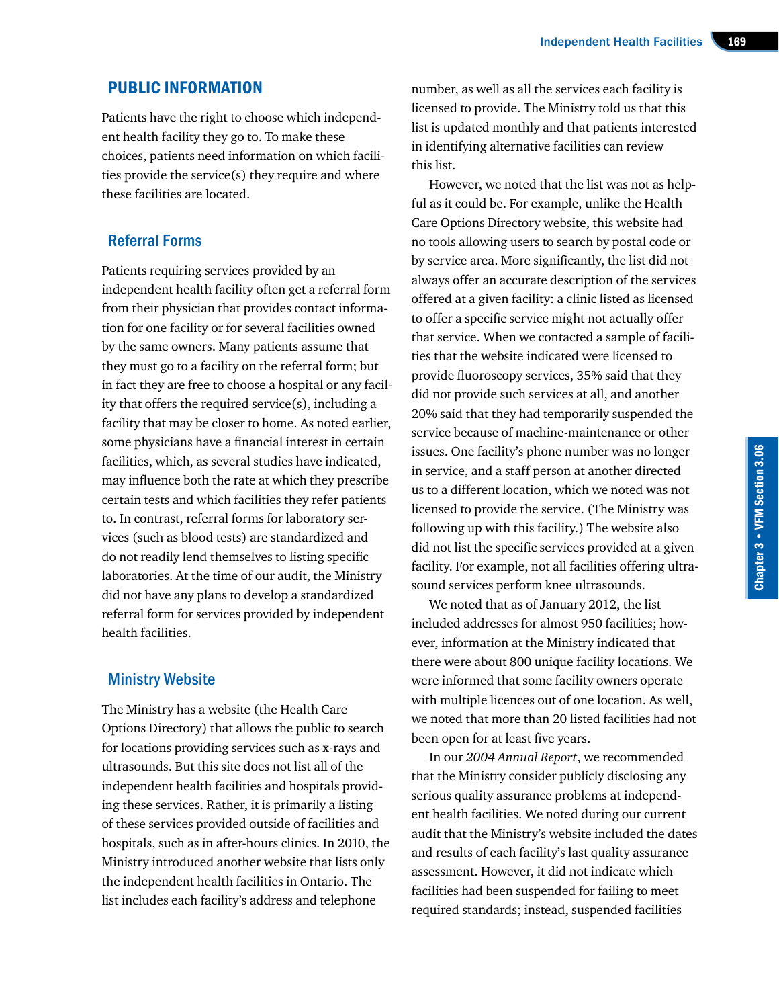#### PUBLIC INFORMATION

Patients have the right to choose which independent health facility they go to. To make these choices, patients need information on which facilities provide the service(s) they require and where these facilities are located.

#### Referral Forms

Patients requiring services provided by an independent health facility often get a referral form from their physician that provides contact information for one facility or for several facilities owned by the same owners. Many patients assume that they must go to a facility on the referral form; but in fact they are free to choose a hospital or any facility that offers the required service(s), including a facility that may be closer to home. As noted earlier, some physicians have a financial interest in certain facilities, which, as several studies have indicated, may influence both the rate at which they prescribe certain tests and which facilities they refer patients to. In contrast, referral forms for laboratory services (such as blood tests) are standardized and do not readily lend themselves to listing specific laboratories. At the time of our audit, the Ministry did not have any plans to develop a standardized referral form for services provided by independent health facilities.

#### Ministry Website

The Ministry has a website (the Health Care Options Directory) that allows the public to search for locations providing services such as x-rays and ultrasounds. But this site does not list all of the independent health facilities and hospitals providing these services. Rather, it is primarily a listing of these services provided outside of facilities and hospitals, such as in after-hours clinics. In 2010, the Ministry introduced another website that lists only the independent health facilities in Ontario. The list includes each facility's address and telephone

number, as well as all the services each facility is licensed to provide. The Ministry told us that this list is updated monthly and that patients interested in identifying alternative facilities can review this list.

However, we noted that the list was not as helpful as it could be. For example, unlike the Health Care Options Directory website, this website had no tools allowing users to search by postal code or by service area. More significantly, the list did not always offer an accurate description of the services offered at a given facility: a clinic listed as licensed to offer a specific service might not actually offer that service. When we contacted a sample of facilities that the website indicated were licensed to provide fluoroscopy services, 35% said that they did not provide such services at all, and another 20% said that they had temporarily suspended the service because of machine-maintenance or other issues. One facility's phone number was no longer in service, and a staff person at another directed us to a different location, which we noted was not licensed to provide the service. (The Ministry was following up with this facility.) The website also did not list the specific services provided at a given facility. For example, not all facilities offering ultrasound services perform knee ultrasounds.

We noted that as of January 2012, the list included addresses for almost 950 facilities; however, information at the Ministry indicated that there were about 800 unique facility locations. We were informed that some facility owners operate with multiple licences out of one location. As well, we noted that more than 20 listed facilities had not been open for at least five years.

In our *2004 Annual Report*, we recommended that the Ministry consider publicly disclosing any serious quality assurance problems at independent health facilities. We noted during our current audit that the Ministry's website included the dates and results of each facility's last quality assurance assessment. However, it did not indicate which facilities had been suspended for failing to meet required standards; instead, suspended facilities